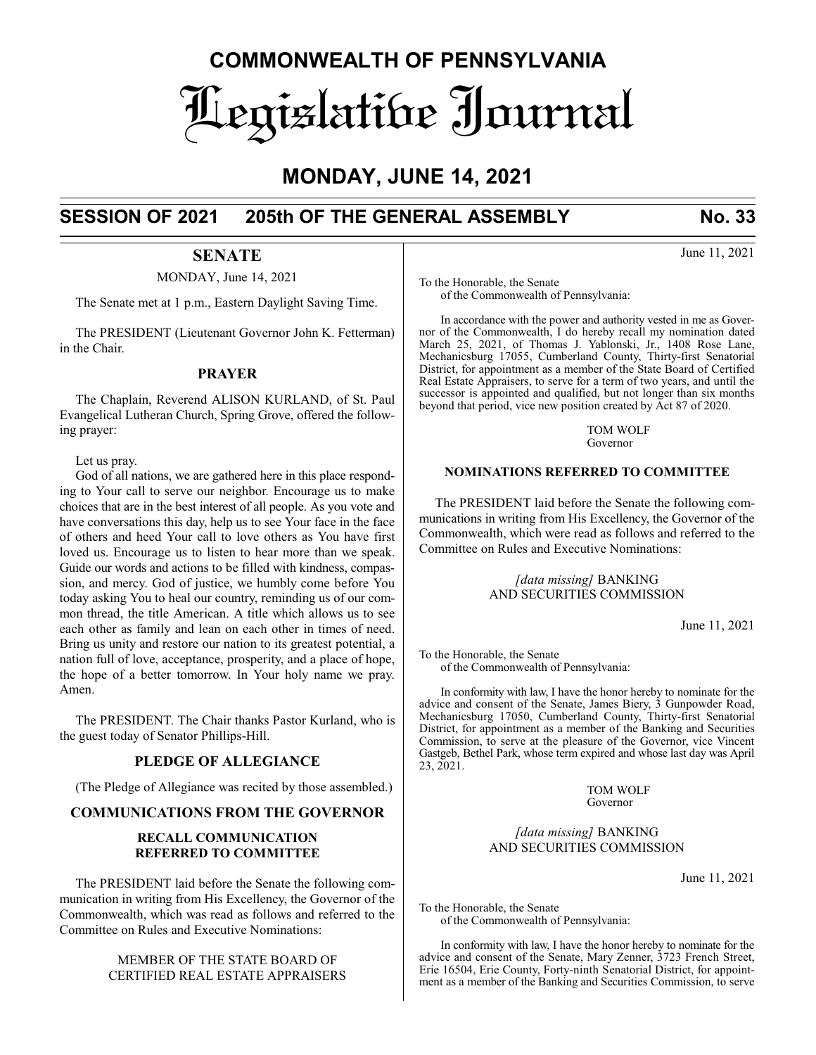# **COMMONWEALTH OF PENNSYLVANIA** Legislative Journal

# **MONDAY, JUNE 14, 2021**

# **SESSION OF 2021 205th OF THE GENERAL ASSEMBLY No. 33**

# **SENATE**

MONDAY, June 14, 2021

The Senate met at 1 p.m., Eastern Daylight Saving Time.

The PRESIDENT (Lieutenant Governor John K. Fetterman) in the Chair.

# **PRAYER**

The Chaplain, Reverend ALISON KURLAND, of St. Paul Evangelical Lutheran Church, Spring Grove, offered the following prayer:

Let us pray.

God of all nations, we are gathered here in this place responding to Your call to serve our neighbor. Encourage us to make choices that are in the best interest of all people. As you vote and have conversations this day, help us to see Your face in the face of others and heed Your call to love others as You have first loved us. Encourage us to listen to hear more than we speak. Guide our words and actions to be filled with kindness, compassion, and mercy. God of justice, we humbly come before You today asking You to heal our country, reminding us of our common thread, the title American. A title which allows us to see each other as family and lean on each other in times of need. Bring us unity and restore our nation to its greatest potential, a nation full of love, acceptance, prosperity, and a place of hope, the hope of a better tomorrow. In Your holy name we pray. Amen.

The PRESIDENT. The Chair thanks Pastor Kurland, who is the guest today of Senator Phillips-Hill.

# **PLEDGE OF ALLEGIANCE**

(The Pledge of Allegiance was recited by those assembled.)

# **COMMUNICATIONS FROM THE GOVERNOR**

# **RECALL COMMUNICATION REFERRED TO COMMITTEE**

The PRESIDENT laid before the Senate the following communication in writing from His Excellency, the Governor of the Commonwealth, which was read as follows and referred to the Committee on Rules and Executive Nominations:

# MEMBER OF THE STATE BOARD OF CERTIFIED REAL ESTATE APPRAISERS

To the Honorable, the Senate of the Commonwealth of Pennsylvania:

In accordance with the power and authority vested in me as Governor of the Commonwealth, I do hereby recall my nomination dated March 25, 2021, of Thomas J. Yablonski, Jr., 1408 Rose Lane, Mechanicsburg 17055, Cumberland County, Thirty-first Senatorial District, for appointment as a member of the State Board of Certified Real Estate Appraisers, to serve for a term of two years, and until the successor is appointed and qualified, but not longer than six months beyond that period, vice new position created by Act 87 of 2020.

> TOM WOLF Governor

# **NOMINATIONS REFERRED TO COMMITTEE**

The PRESIDENT laid before the Senate the following communications in writing from His Excellency, the Governor of the Commonwealth, which were read as follows and referred to the Committee on Rules and Executive Nominations:

## *[data missing]* BANKING AND SECURITIES COMMISSION

June 11, 2021

To the Honorable, the Senate of the Commonwealth of Pennsylvania:

In conformity with law, I have the honor hereby to nominate for the advice and consent of the Senate, James Biery, 3 Gunpowder Road, Mechanicsburg 17050, Cumberland County, Thirty-first Senatorial District, for appointment as a member of the Banking and Securities Commission, to serve at the pleasure of the Governor, vice Vincent Gastgeb, Bethel Park, whose term expired and whose last day was April 23, 2021.

> TOM WOLF Governor

*[data missing]* BANKING AND SECURITIES COMMISSION

June 11, 2021

To the Honorable, the Senate of the Commonwealth of Pennsylvania:

In conformity with law, I have the honor hereby to nominate for the advice and consent of the Senate, Mary Zenner, 3723 French Street, Erie 16504, Erie County, Forty-ninth Senatorial District, for appointment as a member of the Banking and Securities Commission, to serve

June 11, 2021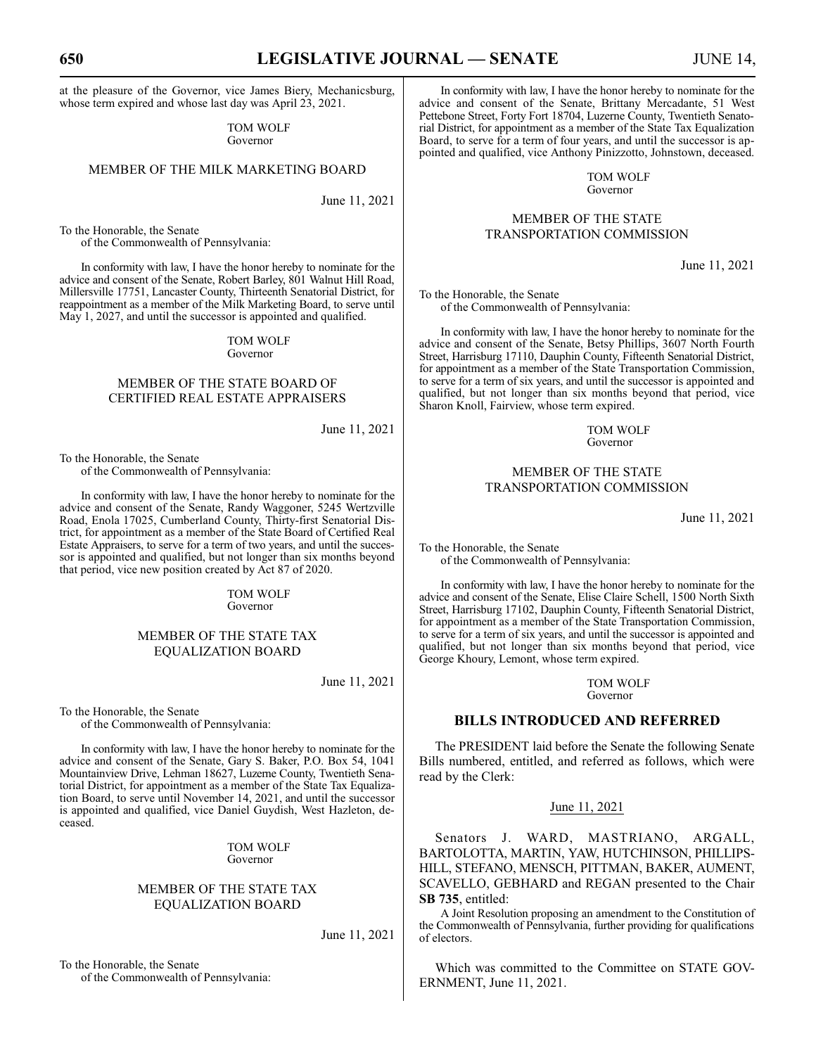at the pleasure of the Governor, vice James Biery, Mechanicsburg, whose term expired and whose last day was April 23, 2021.

> TOM WOLF Governor

# MEMBER OF THE MILK MARKETING BOARD

June 11, 2021

To the Honorable, the Senate of the Commonwealth of Pennsylvania:

In conformity with law, I have the honor hereby to nominate for the advice and consent of the Senate, Robert Barley, 801 Walnut Hill Road, Millersville 17751, Lancaster County, Thirteenth Senatorial District, for reappointment as a member of the Milk Marketing Board, to serve until May 1, 2027, and until the successor is appointed and qualified.

#### TOM WOLF Governor

# MEMBER OF THE STATE BOARD OF CERTIFIED REAL ESTATE APPRAISERS

June 11, 2021

To the Honorable, the Senate of the Commonwealth of Pennsylvania:

In conformity with law, I have the honor hereby to nominate for the advice and consent of the Senate, Randy Waggoner, 5245 Wertzville Road, Enola 17025, Cumberland County, Thirty-first Senatorial District, for appointment as a member of the State Board of Certified Real Estate Appraisers, to serve for a term of two years, and until the successor is appointed and qualified, but not longer than six months beyond that period, vice new position created by Act 87 of 2020.

> TOM WOLF Governor

#### MEMBER OF THE STATE TAX EQUALIZATION BOARD

June 11, 2021

To the Honorable, the Senate of the Commonwealth of Pennsylvania:

In conformity with law, I have the honor hereby to nominate for the advice and consent of the Senate, Gary S. Baker, P.O. Box 54, 1041 Mountainview Drive, Lehman 18627, Luzerne County, Twentieth Senatorial District, for appointment as a member of the State Tax Equalization Board, to serve until November 14, 2021, and until the successor is appointed and qualified, vice Daniel Guydish, West Hazleton, deceased.

> TOM WOLF Governor

# MEMBER OF THE STATE TAX EQUALIZATION BOARD

June 11, 2021

To the Honorable, the Senate of the Commonwealth of Pennsylvania:

In conformity with law, I have the honor hereby to nominate for the advice and consent of the Senate, Brittany Mercadante, 51 West Pettebone Street, Forty Fort 18704, Luzerne County, Twentieth Senatorial District, for appointment as a member of the State Tax Equalization Board, to serve for a term of four years, and until the successor is appointed and qualified, vice Anthony Pinizzotto, Johnstown, deceased.

> TOM WOLF Governor

# MEMBER OF THE STATE TRANSPORTATION COMMISSION

June 11, 2021

To the Honorable, the Senate of the Commonwealth of Pennsylvania:

In conformity with law, I have the honor hereby to nominate for the advice and consent of the Senate, Betsy Phillips, 3607 North Fourth Street, Harrisburg 17110, Dauphin County, Fifteenth Senatorial District, for appointment as a member of the State Transportation Commission, to serve for a term of six years, and until the successor is appointed and qualified, but not longer than six months beyond that period, vice Sharon Knoll, Fairview, whose term expired.

> TOM WOLF Governor

# MEMBER OF THE STATE TRANSPORTATION COMMISSION

June 11, 2021

To the Honorable, the Senate of the Commonwealth of Pennsylvania:

In conformity with law, I have the honor hereby to nominate for the advice and consent of the Senate, Elise Claire Schell, 1500 North Sixth Street, Harrisburg 17102, Dauphin County, Fifteenth Senatorial District, for appointment as a member of the State Transportation Commission, to serve for a term of six years, and until the successor is appointed and qualified, but not longer than six months beyond that period, vice George Khoury, Lemont, whose term expired.

> TOM WOLF Governor

# **BILLS INTRODUCED AND REFERRED**

The PRESIDENT laid before the Senate the following Senate Bills numbered, entitled, and referred as follows, which were read by the Clerk:

#### June 11, 2021

Senators J. WARD, MASTRIANO, ARGALL, BARTOLOTTA, MARTIN, YAW, HUTCHINSON, PHILLIPS-HILL, STEFANO, MENSCH, PITTMAN, BAKER, AUMENT, SCAVELLO, GEBHARD and REGAN presented to the Chair **SB 735**, entitled:

A Joint Resolution proposing an amendment to the Constitution of the Commonwealth of Pennsylvania, further providing for qualifications of electors.

Which was committed to the Committee on STATE GOV-ERNMENT, June 11, 2021.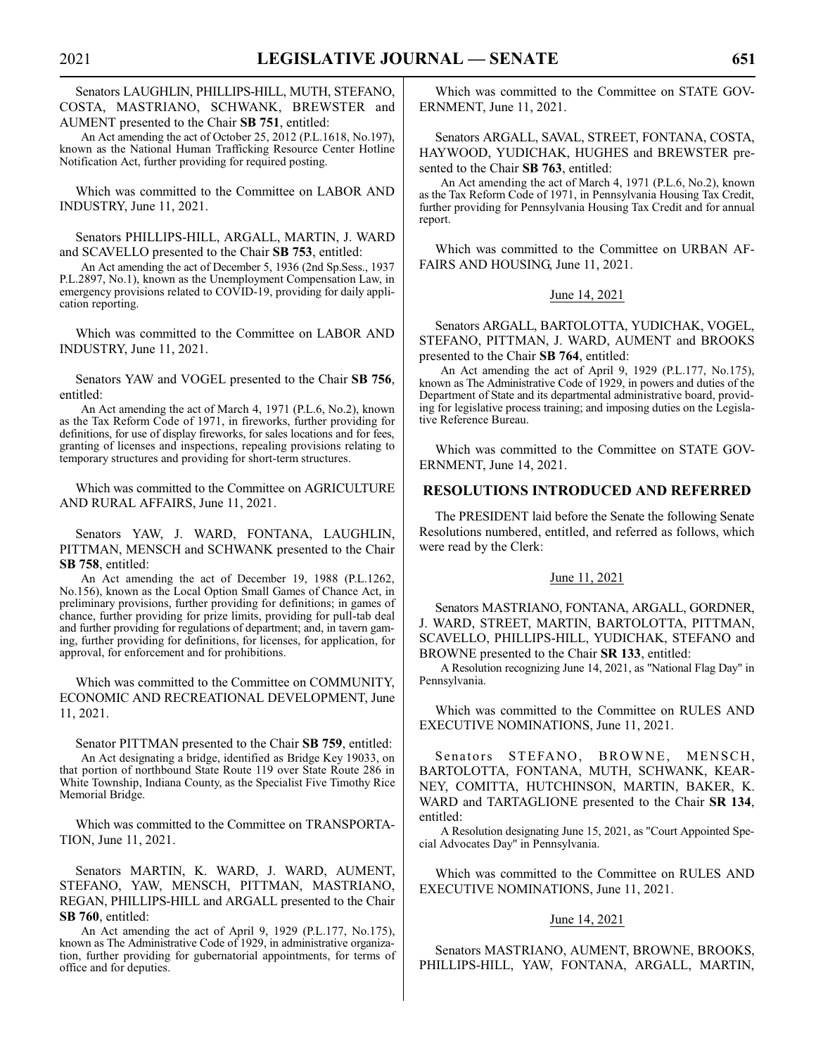Senators LAUGHLIN, PHILLIPS-HILL, MUTH, STEFANO, COSTA, MASTRIANO, SCHWANK, BREWSTER and AUMENT presented to the Chair **SB 751**, entitled:

An Act amending the act of October 25, 2012 (P.L.1618, No.197), known as the National Human Trafficking Resource Center Hotline Notification Act, further providing for required posting.

Which was committed to the Committee on LABOR AND INDUSTRY, June 11, 2021.

Senators PHILLIPS-HILL, ARGALL, MARTIN, J. WARD and SCAVELLO presented to the Chair **SB 753**, entitled:

An Act amending the act of December 5, 1936 (2nd Sp.Sess., 1937 P.L.2897, No.1), known as the Unemployment Compensation Law, in emergency provisions related to COVID-19, providing for daily application reporting.

Which was committed to the Committee on LABOR AND INDUSTRY, June 11, 2021.

Senators YAW and VOGEL presented to the Chair **SB 756**, entitled:

An Act amending the act of March 4, 1971 (P.L.6, No.2), known as the Tax Reform Code of 1971, in fireworks, further providing for definitions, for use of display fireworks, for sales locations and for fees, granting of licenses and inspections, repealing provisions relating to temporary structures and providing for short-term structures.

Which was committed to the Committee on AGRICULTURE AND RURAL AFFAIRS, June 11, 2021.

Senators YAW, J. WARD, FONTANA, LAUGHLIN, PITTMAN, MENSCH and SCHWANK presented to the Chair **SB 758**, entitled:

An Act amending the act of December 19, 1988 (P.L.1262, No.156), known as the Local Option Small Games of Chance Act, in preliminary provisions, further providing for definitions; in games of chance, further providing for prize limits, providing for pull-tab deal and further providing for regulations of department; and, in tavern gaming, further providing for definitions, for licenses, for application, for approval, for enforcement and for prohibitions.

Which was committed to the Committee on COMMUNITY, ECONOMIC AND RECREATIONAL DEVELOPMENT, June 11, 2021.

Senator PITTMAN presented to the Chair **SB 759**, entitled: An Act designating a bridge, identified as Bridge Key 19033, on that portion of northbound State Route 119 over State Route 286 in White Township, Indiana County, as the Specialist Five Timothy Rice Memorial Bridge.

Which was committed to the Committee on TRANSPORTA-TION, June 11, 2021.

Senators MARTIN, K. WARD, J. WARD, AUMENT, STEFANO, YAW, MENSCH, PITTMAN, MASTRIANO, REGAN, PHILLIPS-HILL and ARGALL presented to the Chair **SB 760**, entitled:

An Act amending the act of April 9, 1929 (P.L.177, No.175), known as The Administrative Code of 1929, in administrative organization, further providing for gubernatorial appointments, for terms of office and for deputies.

Which was committed to the Committee on STATE GOV-ERNMENT, June 11, 2021.

Senators ARGALL, SAVAL, STREET, FONTANA, COSTA, HAYWOOD, YUDICHAK, HUGHES and BREWSTER presented to the Chair **SB 763**, entitled:

An Act amending the act of March 4, 1971 (P.L.6, No.2), known as the Tax Reform Code of 1971, in Pennsylvania Housing Tax Credit, further providing for Pennsylvania Housing Tax Credit and for annual report.

Which was committed to the Committee on URBAN AF-FAIRS AND HOUSING, June 11, 2021.

#### June 14, 2021

Senators ARGALL, BARTOLOTTA, YUDICHAK, VOGEL, STEFANO, PITTMAN, J. WARD, AUMENT and BROOKS presented to the Chair **SB 764**, entitled:

An Act amending the act of April 9, 1929 (P.L.177, No.175), known as The Administrative Code of 1929, in powers and duties of the Department of State and its departmental administrative board, providing for legislative process training; and imposing duties on the Legislative Reference Bureau.

Which was committed to the Committee on STATE GOV-ERNMENT, June 14, 2021.

# **RESOLUTIONS INTRODUCED AND REFERRED**

The PRESIDENT laid before the Senate the following Senate Resolutions numbered, entitled, and referred as follows, which were read by the Clerk:

#### June 11, 2021

Senators MASTRIANO, FONTANA, ARGALL, GORDNER, J. WARD, STREET, MARTIN, BARTOLOTTA, PITTMAN, SCAVELLO, PHILLIPS-HILL, YUDICHAK, STEFANO and BROWNE presented to the Chair **SR 133**, entitled:

A Resolution recognizing June 14, 2021, as "National Flag Day" in Pennsylvania.

Which was committed to the Committee on RULES AND EXECUTIVE NOMINATIONS, June 11, 2021.

Senators STEFANO, BROWNE, MENSCH, BARTOLOTTA, FONTANA, MUTH, SCHWANK, KEAR-NEY, COMITTA, HUTCHINSON, MARTIN, BAKER, K. WARD and TARTAGLIONE presented to the Chair **SR 134**, entitled:

A Resolution designating June 15, 2021, as "Court Appointed Special Advocates Day" in Pennsylvania.

Which was committed to the Committee on RULES AND EXECUTIVE NOMINATIONS, June 11, 2021.

#### June 14, 2021

Senators MASTRIANO, AUMENT, BROWNE, BROOKS, PHILLIPS-HILL, YAW, FONTANA, ARGALL, MARTIN,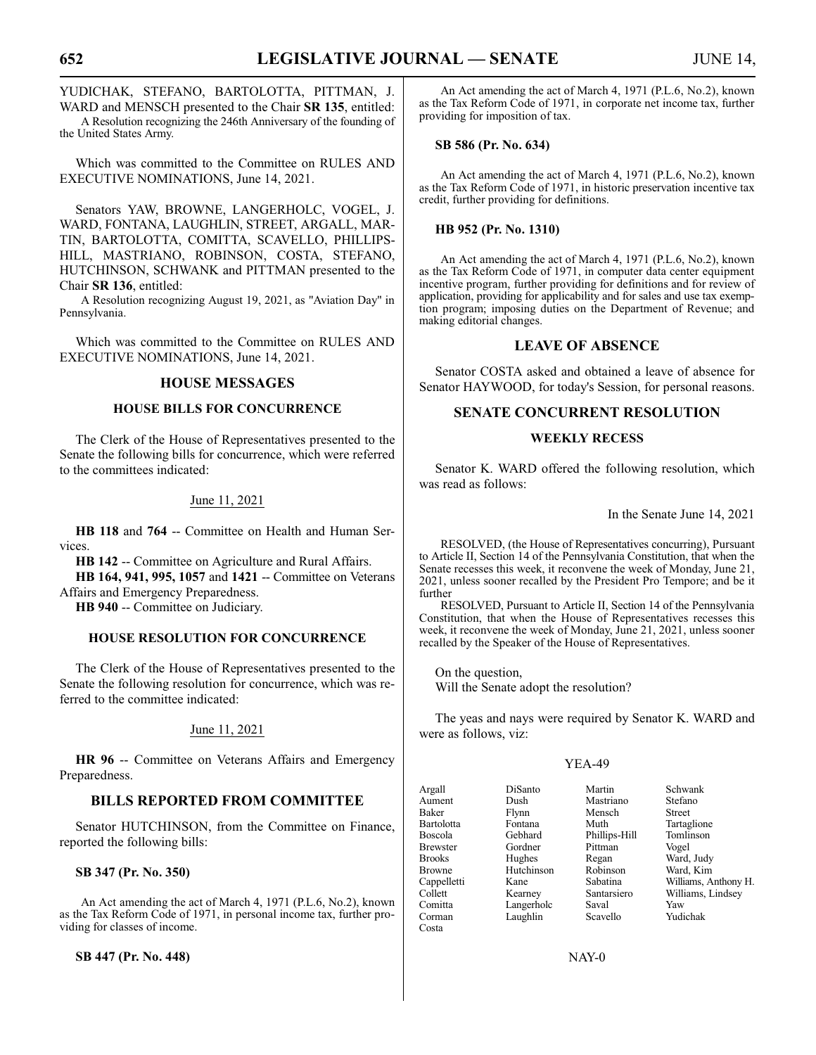# YUDICHAK, STEFANO, BARTOLOTTA, PITTMAN, J. WARD and MENSCH presented to the Chair **SR 135**, entitled:

A Resolution recognizing the 246th Anniversary of the founding of the United States Army.

Which was committed to the Committee on RULES AND EXECUTIVE NOMINATIONS, June 14, 2021.

Senators YAW, BROWNE, LANGERHOLC, VOGEL, J. WARD, FONTANA, LAUGHLIN, STREET, ARGALL, MAR-TIN, BARTOLOTTA, COMITTA, SCAVELLO, PHILLIPS-HILL, MASTRIANO, ROBINSON, COSTA, STEFANO, HUTCHINSON, SCHWANK and PITTMAN presented to the Chair **SR 136**, entitled:

A Resolution recognizing August 19, 2021, as "Aviation Day" in Pennsylvania.

Which was committed to the Committee on RULES AND EXECUTIVE NOMINATIONS, June 14, 2021.

# **HOUSE MESSAGES**

# **HOUSE BILLS FOR CONCURRENCE**

The Clerk of the House of Representatives presented to the Senate the following bills for concurrence, which were referred to the committees indicated:

# June 11, 2021

**HB 118** and **764** -- Committee on Health and Human Services.

**HB 142** -- Committee on Agriculture and Rural Affairs.

**HB 164, 941, 995, 1057** and **1421** -- Committee on Veterans Affairs and Emergency Preparedness.

**HB 940** -- Committee on Judiciary.

# **HOUSE RESOLUTION FOR CONCURRENCE**

The Clerk of the House of Representatives presented to the Senate the following resolution for concurrence, which was referred to the committee indicated:

# June 11, 2021

**HR 96** -- Committee on Veterans Affairs and Emergency Preparedness.

# **BILLS REPORTED FROM COMMITTEE**

Senator HUTCHINSON, from the Committee on Finance, reported the following bills:

#### **SB 347 (Pr. No. 350)**

An Act amending the act of March 4, 1971 (P.L.6, No.2), known as the Tax Reform Code of 1971, in personal income tax, further providing for classes of income.

**SB 447 (Pr. No. 448)**

An Act amending the act of March 4, 1971 (P.L.6, No.2), known as the Tax Reform Code of 1971, in corporate net income tax, further providing for imposition of tax.

#### **SB 586 (Pr. No. 634)**

An Act amending the act of March 4, 1971 (P.L.6, No.2), known as the Tax Reform Code of 1971, in historic preservation incentive tax credit, further providing for definitions.

# **HB 952 (Pr. No. 1310)**

An Act amending the act of March 4, 1971 (P.L.6, No.2), known as the Tax Reform Code of 1971, in computer data center equipment incentive program, further providing for definitions and for review of application, providing for applicability and for sales and use tax exemption program; imposing duties on the Department of Revenue; and making editorial changes.

# **LEAVE OF ABSENCE**

Senator COSTA asked and obtained a leave of absence for Senator HAYWOOD, for today's Session, for personal reasons.

# **SENATE CONCURRENT RESOLUTION**

#### **WEEKLY RECESS**

Senator K. WARD offered the following resolution, which was read as follows:

In the Senate June 14, 2021

RESOLVED, (the House of Representatives concurring), Pursuant to Article II, Section 14 of the Pennsylvania Constitution, that when the Senate recesses this week, it reconvene the week of Monday, June 21, 2021, unless sooner recalled by the President Pro Tempore; and be it further

RESOLVED, Pursuant to Article II, Section 14 of the Pennsylvania Constitution, that when the House of Representatives recesses this week, it reconvene the week of Monday, June 21, 2021, unless sooner recalled by the Speaker of the House of Representatives.

On the question, Will the Senate adopt the resolution?

The yeas and nays were required by Senator K. WARD and were as follows, viz:

#### YEA-49

| Argall          | DiSanto    | Martin        | Schwank              |
|-----------------|------------|---------------|----------------------|
| Aument          | Dush       | Mastriano     | Stefano              |
| Baker           | Flynn      | Mensch        | <b>Street</b>        |
| Bartolotta      | Fontana    | Muth          | Tartaglione          |
| <b>Boscola</b>  | Gebhard    | Phillips-Hill | Tomlinson            |
| <b>Brewster</b> | Gordner    | Pittman       | Vogel                |
| <b>Brooks</b>   | Hughes     | Regan         | Ward, Judy           |
| <b>Browne</b>   | Hutchinson | Robinson      | Ward, Kim            |
| Cappelletti     | Kane       | Sabatina      | Williams, Anthony H. |
| Collett         | Kearney    | Santarsiero   | Williams, Lindsey    |
| Comitta         | Langerholc | Saval         | Yaw                  |
| Corman          | Laughlin   | Scavello      | Yudichak             |
| Costa           |            |               |                      |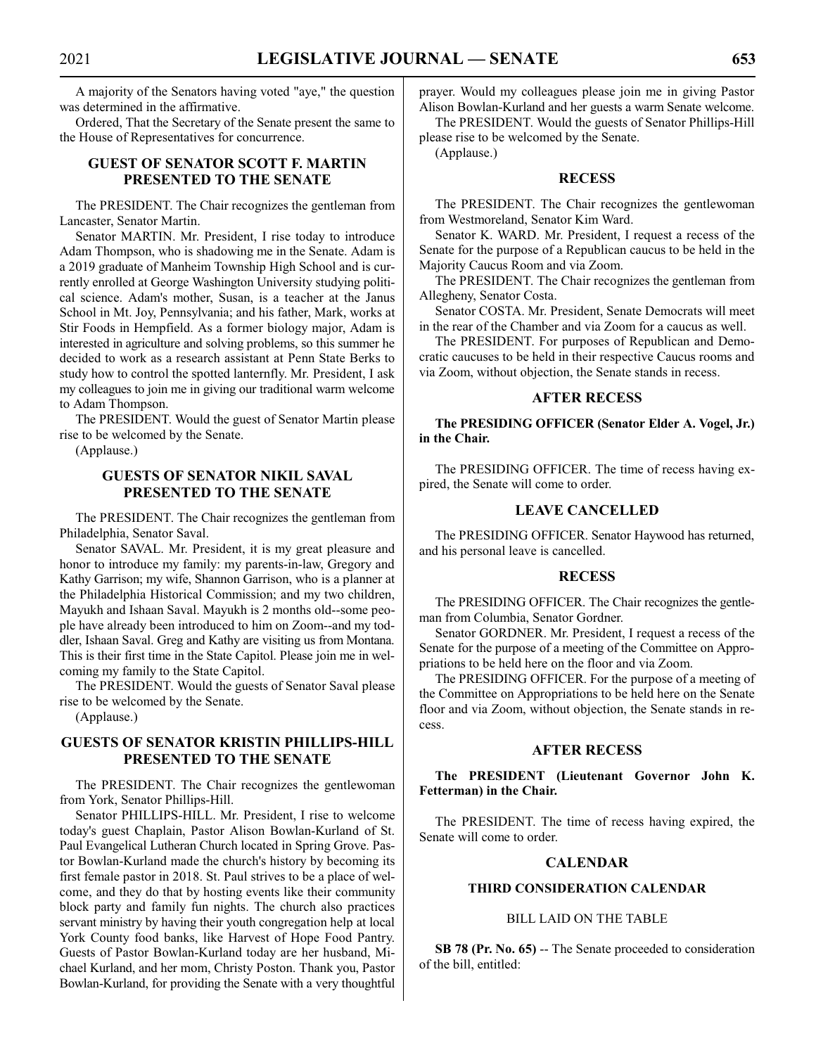A majority of the Senators having voted "aye," the question was determined in the affirmative.

Ordered, That the Secretary of the Senate present the same to the House of Representatives for concurrence.

# **GUEST OF SENATOR SCOTT F. MARTIN PRESENTED TO THE SENATE**

The PRESIDENT. The Chair recognizes the gentleman from Lancaster, Senator Martin.

Senator MARTIN. Mr. President, I rise today to introduce Adam Thompson, who is shadowing me in the Senate. Adam is a 2019 graduate of Manheim Township High School and is currently enrolled at George Washington University studying political science. Adam's mother, Susan, is a teacher at the Janus School in Mt. Joy, Pennsylvania; and his father, Mark, works at Stir Foods in Hempfield. As a former biology major, Adam is interested in agriculture and solving problems, so this summer he decided to work as a research assistant at Penn State Berks to study how to control the spotted lanternfly. Mr. President, I ask my colleagues to join me in giving our traditional warm welcome to Adam Thompson.

The PRESIDENT. Would the guest of Senator Martin please rise to be welcomed by the Senate.

(Applause.)

# **GUESTS OF SENATOR NIKIL SAVAL PRESENTED TO THE SENATE**

The PRESIDENT. The Chair recognizes the gentleman from Philadelphia, Senator Saval.

Senator SAVAL. Mr. President, it is my great pleasure and honor to introduce my family: my parents-in-law, Gregory and Kathy Garrison; my wife, Shannon Garrison, who is a planner at the Philadelphia Historical Commission; and my two children, Mayukh and Ishaan Saval. Mayukh is 2 months old--some people have already been introduced to him on Zoom--and my toddler, Ishaan Saval. Greg and Kathy are visiting us from Montana. This is their first time in the State Capitol. Please join me in welcoming my family to the State Capitol.

The PRESIDENT. Would the guests of Senator Saval please rise to be welcomed by the Senate.

(Applause.)

# **GUESTS OF SENATOR KRISTIN PHILLIPS-HILL PRESENTED TO THE SENATE**

The PRESIDENT. The Chair recognizes the gentlewoman from York, Senator Phillips-Hill.

Senator PHILLIPS-HILL. Mr. President, I rise to welcome today's guest Chaplain, Pastor Alison Bowlan-Kurland of St. Paul Evangelical Lutheran Church located in Spring Grove. Pastor Bowlan-Kurland made the church's history by becoming its first female pastor in 2018. St. Paul strives to be a place of welcome, and they do that by hosting events like their community block party and family fun nights. The church also practices servant ministry by having their youth congregation help at local York County food banks, like Harvest of Hope Food Pantry. Guests of Pastor Bowlan-Kurland today are her husband, Michael Kurland, and her mom, Christy Poston. Thank you, Pastor Bowlan-Kurland, for providing the Senate with a very thoughtful

prayer. Would my colleagues please join me in giving Pastor Alison Bowlan-Kurland and her guests a warm Senate welcome.

The PRESIDENT. Would the guests of Senator Phillips-Hill please rise to be welcomed by the Senate.

(Applause.)

# **RECESS**

The PRESIDENT. The Chair recognizes the gentlewoman from Westmoreland, Senator Kim Ward.

Senator K. WARD. Mr. President, I request a recess of the Senate for the purpose of a Republican caucus to be held in the Majority Caucus Room and via Zoom.

The PRESIDENT. The Chair recognizes the gentleman from Allegheny, Senator Costa.

Senator COSTA. Mr. President, Senate Democrats will meet in the rear of the Chamber and via Zoom for a caucus as well.

The PRESIDENT. For purposes of Republican and Democratic caucuses to be held in their respective Caucus rooms and via Zoom, without objection, the Senate stands in recess.

# **AFTER RECESS**

**The PRESIDING OFFICER (Senator Elder A. Vogel, Jr.) in the Chair.**

The PRESIDING OFFICER. The time of recess having expired, the Senate will come to order.

# **LEAVE CANCELLED**

The PRESIDING OFFICER. Senator Haywood has returned, and his personal leave is cancelled.

#### **RECESS**

The PRESIDING OFFICER. The Chair recognizes the gentleman from Columbia, Senator Gordner.

Senator GORDNER. Mr. President, I request a recess of the Senate for the purpose of a meeting of the Committee on Appropriations to be held here on the floor and via Zoom.

The PRESIDING OFFICER. For the purpose of a meeting of the Committee on Appropriations to be held here on the Senate floor and via Zoom, without objection, the Senate stands in recess.

# **AFTER RECESS**

**The PRESIDENT (Lieutenant Governor John K. Fetterman) in the Chair.**

The PRESIDENT. The time of recess having expired, the Senate will come to order.

#### **CALENDAR**

# **THIRD CONSIDERATION CALENDAR**

# BILL LAID ON THE TABLE

**SB 78 (Pr. No. 65)** -- The Senate proceeded to consideration of the bill, entitled: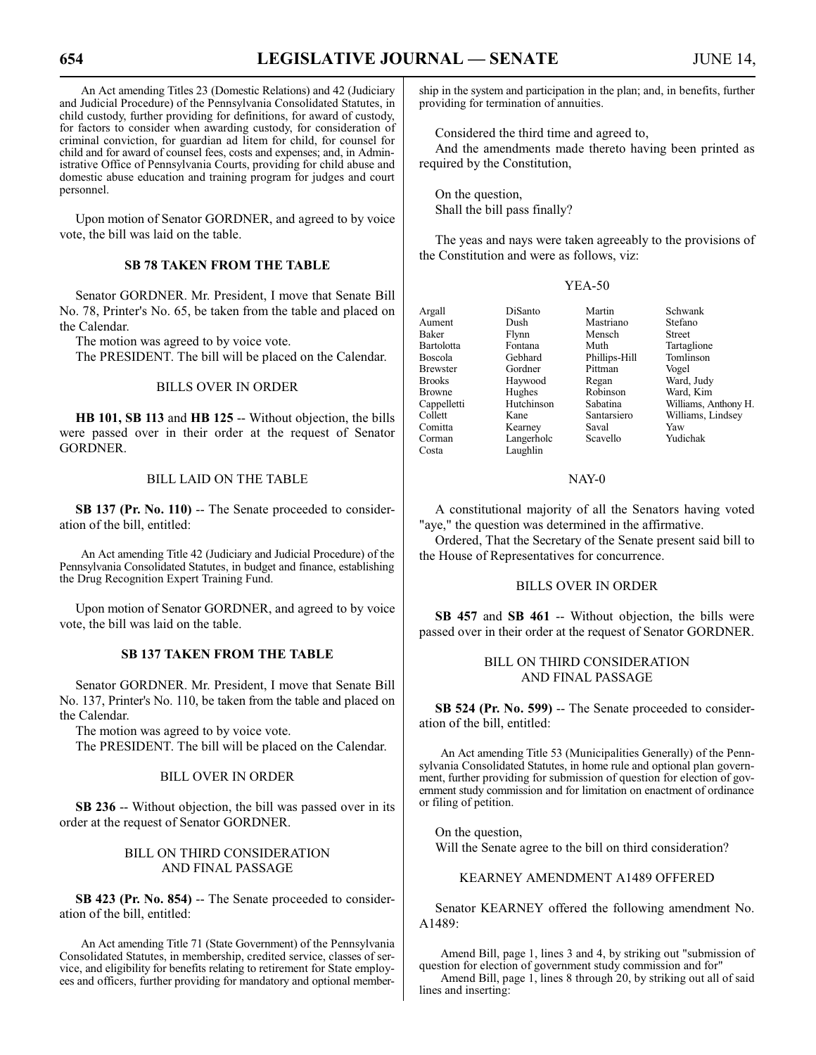An Act amending Titles 23 (Domestic Relations) and 42 (Judiciary and Judicial Procedure) of the Pennsylvania Consolidated Statutes, in child custody, further providing for definitions, for award of custody, for factors to consider when awarding custody, for consideration of criminal conviction, for guardian ad litem for child, for counsel for child and for award of counsel fees, costs and expenses; and, in Administrative Office of Pennsylvania Courts, providing for child abuse and domestic abuse education and training program for judges and court personnel.

Upon motion of Senator GORDNER, and agreed to by voice vote, the bill was laid on the table.

# **SB 78 TAKEN FROM THE TABLE**

Senator GORDNER. Mr. President, I move that Senate Bill No. 78, Printer's No. 65, be taken from the table and placed on the Calendar.

The motion was agreed to by voice vote.

The PRESIDENT. The bill will be placed on the Calendar.

# BILLS OVER IN ORDER

**HB 101, SB 113** and **HB 125** -- Without objection, the bills were passed over in their order at the request of Senator GORDNER.

# BILL LAID ON THE TABLE

**SB 137 (Pr. No. 110)** -- The Senate proceeded to consideration of the bill, entitled:

An Act amending Title 42 (Judiciary and Judicial Procedure) of the Pennsylvania Consolidated Statutes, in budget and finance, establishing the Drug Recognition Expert Training Fund.

Upon motion of Senator GORDNER, and agreed to by voice vote, the bill was laid on the table.

#### **SB 137 TAKEN FROM THE TABLE**

Senator GORDNER. Mr. President, I move that Senate Bill No. 137, Printer's No. 110, be taken from the table and placed on the Calendar.

The motion was agreed to by voice vote.

The PRESIDENT. The bill will be placed on the Calendar.

#### BILL OVER IN ORDER

**SB 236** -- Without objection, the bill was passed over in its order at the request of Senator GORDNER.

# BILL ON THIRD CONSIDERATION AND FINAL PASSAGE

**SB 423 (Pr. No. 854)** -- The Senate proceeded to consideration of the bill, entitled:

An Act amending Title 71 (State Government) of the Pennsylvania Consolidated Statutes, in membership, credited service, classes of service, and eligibility for benefits relating to retirement for State employees and officers, further providing for mandatory and optional membership in the system and participation in the plan; and, in benefits, further providing for termination of annuities.

Considered the third time and agreed to,

And the amendments made thereto having been printed as required by the Constitution,

On the question, Shall the bill pass finally?

The yeas and nays were taken agreeably to the provisions of the Constitution and were as follows, viz:

#### YEA-50

| Argall            | DiSanto    | Martin        | Schwank              |
|-------------------|------------|---------------|----------------------|
| Aument            | Dush       | Mastriano     | Stefano              |
| Baker             | Flynn      | Mensch        | <b>Street</b>        |
| <b>Bartolotta</b> | Fontana    | Muth          | Tartaglione          |
| <b>Boscola</b>    | Gebhard    | Phillips-Hill | Tomlinson            |
| <b>Brewster</b>   | Gordner    | Pittman       | Vogel                |
| <b>Brooks</b>     | Haywood    | Regan         | Ward, Judy           |
| <b>Browne</b>     | Hughes     | Robinson      | Ward, Kim            |
| Cappelletti       | Hutchinson | Sabatina      | Williams, Anthony H. |
| Collett           | Kane       | Santarsiero   | Williams, Lindsey    |
| Comitta           | Kearney    | Saval         | Yaw                  |
| Corman            | Langerholc | Scavello      | Yudichak             |
| Costa             | Laughlin   |               |                      |

#### NAY-0

A constitutional majority of all the Senators having voted "aye," the question was determined in the affirmative.

Ordered, That the Secretary of the Senate present said bill to the House of Representatives for concurrence.

#### BILLS OVER IN ORDER

**SB 457** and **SB 461** -- Without objection, the bills were passed over in their order at the request of Senator GORDNER.

# BILL ON THIRD CONSIDERATION AND FINAL PASSAGE

**SB 524 (Pr. No. 599)** -- The Senate proceeded to consideration of the bill, entitled:

An Act amending Title 53 (Municipalities Generally) of the Pennsylvania Consolidated Statutes, in home rule and optional plan government, further providing for submission of question for election of government study commission and for limitation on enactment of ordinance or filing of petition.

On the question, Will the Senate agree to the bill on third consideration?

KEARNEY AMENDMENT A1489 OFFERED

Senator KEARNEY offered the following amendment No. A1489:

Amend Bill, page 1, lines 3 and 4, by striking out "submission of question for election of government study commission and for"

Amend Bill, page 1, lines 8 through 20, by striking out all of said lines and inserting: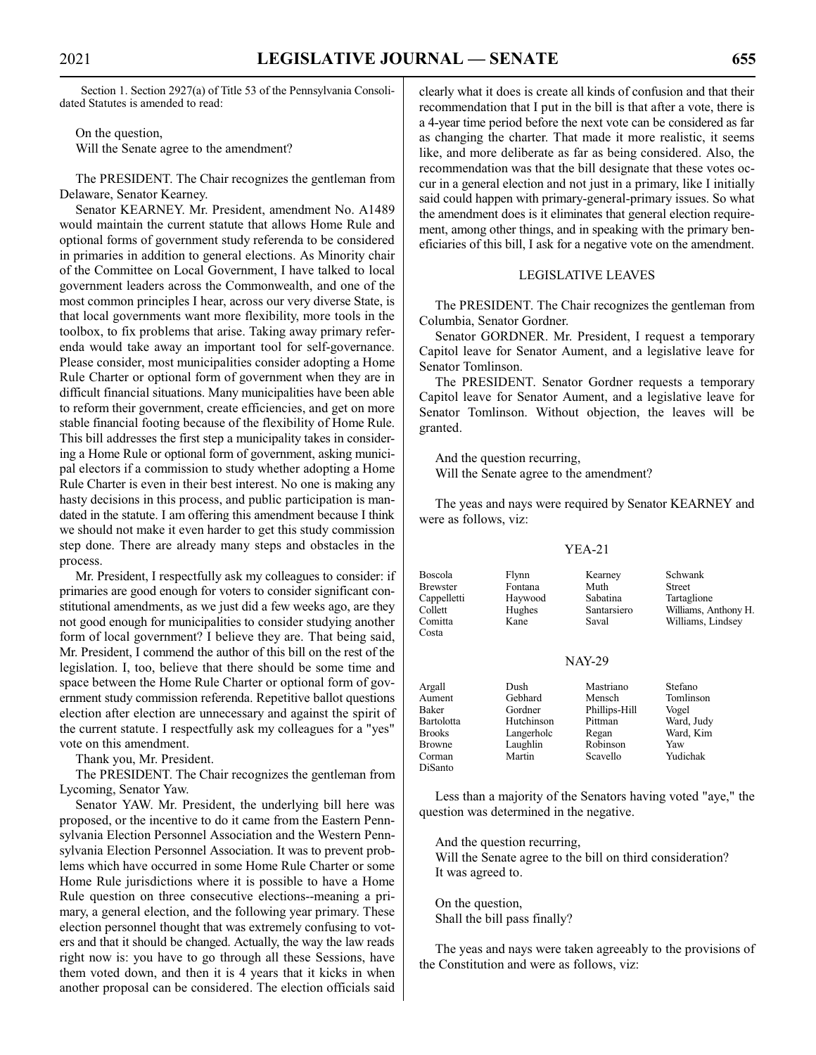Section 1. Section 2927(a) of Title 53 of the Pennsylvania Consolidated Statutes is amended to read:

On the question, Will the Senate agree to the amendment?

The PRESIDENT. The Chair recognizes the gentleman from Delaware, Senator Kearney.

Senator KEARNEY. Mr. President, amendment No. A1489 would maintain the current statute that allows Home Rule and optional forms of government study referenda to be considered in primaries in addition to general elections. As Minority chair of the Committee on Local Government, I have talked to local government leaders across the Commonwealth, and one of the most common principles I hear, across our very diverse State, is that local governments want more flexibility, more tools in the toolbox, to fix problems that arise. Taking away primary referenda would take away an important tool for self-governance. Please consider, most municipalities consider adopting a Home Rule Charter or optional form of government when they are in difficult financial situations. Many municipalities have been able to reform their government, create efficiencies, and get on more stable financial footing because of the flexibility of Home Rule. This bill addresses the first step a municipality takes in considering a Home Rule or optional form of government, asking municipal electors if a commission to study whether adopting a Home Rule Charter is even in their best interest. No one is making any hasty decisions in this process, and public participation is mandated in the statute. I am offering this amendment because I think we should not make it even harder to get this study commission step done. There are already many steps and obstacles in the process.

Mr. President, I respectfully ask my colleagues to consider: if primaries are good enough for voters to consider significant constitutional amendments, as we just did a few weeks ago, are they not good enough for municipalities to consider studying another form of local government? I believe they are. That being said, Mr. President, I commend the author of this bill on the rest of the legislation. I, too, believe that there should be some time and space between the Home Rule Charter or optional form of government study commission referenda. Repetitive ballot questions election after election are unnecessary and against the spirit of the current statute. I respectfully ask my colleagues for a "yes" vote on this amendment.

Thank you, Mr. President.

The PRESIDENT. The Chair recognizes the gentleman from Lycoming, Senator Yaw.

Senator YAW. Mr. President, the underlying bill here was proposed, or the incentive to do it came from the Eastern Pennsylvania Election Personnel Association and the Western Pennsylvania Election Personnel Association. It was to prevent problems which have occurred in some Home Rule Charter or some Home Rule jurisdictions where it is possible to have a Home Rule question on three consecutive elections--meaning a primary, a general election, and the following year primary. These election personnel thought that was extremely confusing to voters and that it should be changed. Actually, the way the law reads right now is: you have to go through all these Sessions, have them voted down, and then it is 4 years that it kicks in when another proposal can be considered. The election officials said clearly what it does is create all kinds of confusion and that their recommendation that I put in the bill is that after a vote, there is a 4-year time period before the next vote can be considered as far as changing the charter. That made it more realistic, it seems like, and more deliberate as far as being considered. Also, the recommendation was that the bill designate that these votes occur in a general election and not just in a primary, like I initially said could happen with primary-general-primary issues. So what the amendment does is it eliminates that general election requirement, among other things, and in speaking with the primary beneficiaries of this bill, I ask for a negative vote on the amendment.

#### LEGISLATIVE LEAVES

The PRESIDENT. The Chair recognizes the gentleman from Columbia, Senator Gordner.

Senator GORDNER. Mr. President, I request a temporary Capitol leave for Senator Aument, and a legislative leave for Senator Tomlinson.

The PRESIDENT. Senator Gordner requests a temporary Capitol leave for Senator Aument, and a legislative leave for Senator Tomlinson. Without objection, the leaves will be granted.

And the question recurring, Will the Senate agree to the amendment?

The yeas and nays were required by Senator KEARNEY and were as follows, viz:

# YEA-21

| <b>Boscola</b><br><b>Brewster</b><br>Cappelletti<br>Collett<br>Comitta<br>Costa                | Flynn<br>Fontana<br>Haywood<br>Hughes<br>Kane                                | Kearney<br>Muth<br>Sabatina<br>Santarsiero<br>Saval                              | Schwank<br><b>Street</b><br>Tartaglione<br>Williams, Anthony H.<br>Williams, Lindsey |
|------------------------------------------------------------------------------------------------|------------------------------------------------------------------------------|----------------------------------------------------------------------------------|--------------------------------------------------------------------------------------|
|                                                                                                |                                                                              | <b>NAY-29</b>                                                                    |                                                                                      |
| Argall<br>Aument<br>Baker<br><b>Bartolotta</b><br><b>Brooks</b><br>Browne<br>Corman<br>DiSanto | Dush<br>Gebhard<br>Gordner<br>Hutchinson<br>Langerholc<br>Laughlin<br>Martin | Mastriano<br>Mensch<br>Phillips-Hill<br>Pittman<br>Regan<br>Robinson<br>Scavello | Stefano<br>Tomlinson<br>Vogel<br>Ward, Judy<br>Ward, Kim<br>Yaw<br>Yudichak          |

Less than a majority of the Senators having voted "aye," the question was determined in the negative.

And the question recurring,

Will the Senate agree to the bill on third consideration? It was agreed to.

On the question, Shall the bill pass finally?

The yeas and nays were taken agreeably to the provisions of the Constitution and were as follows, viz: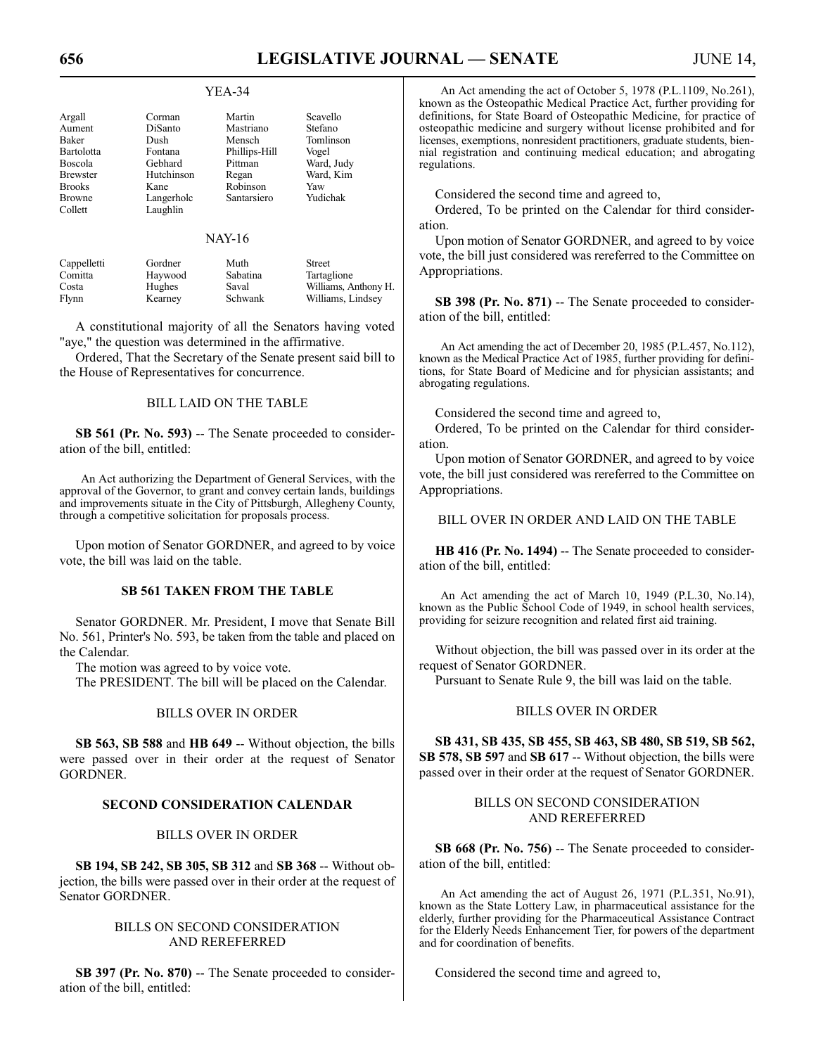#### YEA-34

| Argall          | Corman     | Martin        | Scavello   |
|-----------------|------------|---------------|------------|
| Aument          | DiSanto    | Mastriano     | Stefano    |
| <b>Baker</b>    | Dush       | Mensch        | Tomlinson  |
| Bartolotta      | Fontana    | Phillips-Hill | Vogel      |
| Boscola         | Gebhard    | Pittman       | Ward, Judy |
| <b>Brewster</b> | Hutchinson | Regan         | Ward, Kim  |
| <b>Brooks</b>   | Kane       | Robinson      | Yaw        |
| <b>Browne</b>   | Langerholc | Santarsiero   | Yudichak   |
| Collett         | Laughlin   |               |            |

#### NAY-16

| Cappelletti | Gordner | Muth     | Street               |
|-------------|---------|----------|----------------------|
| Comitta     | Haywood | Sabatina | Tartaglione          |
| Costa       | Hughes  | Saval    | Williams, Anthony H. |
| Flynn       | Kearney | Schwank  | Williams, Lindsey    |

A constitutional majority of all the Senators having voted "aye," the question was determined in the affirmative.

Ordered, That the Secretary of the Senate present said bill to the House of Representatives for concurrence.

# BILL LAID ON THE TABLE

**SB 561 (Pr. No. 593)** -- The Senate proceeded to consideration of the bill, entitled:

An Act authorizing the Department of General Services, with the approval of the Governor, to grant and convey certain lands, buildings and improvements situate in the City of Pittsburgh, Allegheny County, through a competitive solicitation for proposals process.

Upon motion of Senator GORDNER, and agreed to by voice vote, the bill was laid on the table.

#### **SB 561 TAKEN FROM THE TABLE**

Senator GORDNER. Mr. President, I move that Senate Bill No. 561, Printer's No. 593, be taken from the table and placed on the Calendar.

The motion was agreed to by voice vote.

The PRESIDENT. The bill will be placed on the Calendar.

#### BILLS OVER IN ORDER

**SB 563, SB 588** and **HB 649** -- Without objection, the bills were passed over in their order at the request of Senator **GORDNER** 

#### **SECOND CONSIDERATION CALENDAR**

# BILLS OVER IN ORDER

**SB 194, SB 242, SB 305, SB 312** and **SB 368** -- Without objection, the bills were passed over in their order at the request of Senator GORDNER.

# BILLS ON SECOND CONSIDERATION AND REREFERRED

**SB 397 (Pr. No. 870)** -- The Senate proceeded to consideration of the bill, entitled:

An Act amending the act of October 5, 1978 (P.L.1109, No.261), known as the Osteopathic Medical Practice Act, further providing for definitions, for State Board of Osteopathic Medicine, for practice of osteopathic medicine and surgery without license prohibited and for licenses, exemptions, nonresident practitioners, graduate students, biennial registration and continuing medical education; and abrogating regulations.

Considered the second time and agreed to,

Ordered, To be printed on the Calendar for third consideration.

Upon motion of Senator GORDNER, and agreed to by voice vote, the bill just considered was rereferred to the Committee on Appropriations.

**SB 398 (Pr. No. 871)** -- The Senate proceeded to consideration of the bill, entitled:

An Act amending the act of December 20, 1985 (P.L.457, No.112), known as the Medical Practice Act of 1985, further providing for definitions, for State Board of Medicine and for physician assistants; and abrogating regulations.

Considered the second time and agreed to,

Ordered, To be printed on the Calendar for third consideration.

Upon motion of Senator GORDNER, and agreed to by voice vote, the bill just considered was rereferred to the Committee on Appropriations.

#### BILL OVER IN ORDER AND LAID ON THE TABLE

**HB 416 (Pr. No. 1494)** – The Senate proceeded to consideration of the bill, entitled:

An Act amending the act of March 10, 1949 (P.L.30, No.14), known as the Public School Code of 1949, in school health services, providing for seizure recognition and related first aid training.

Without objection, the bill was passed over in its order at the request of Senator GORDNER.

Pursuant to Senate Rule 9, the bill was laid on the table.

# BILLS OVER IN ORDER

**SB 431, SB 435, SB 455, SB 463, SB 480, SB 519, SB 562, SB 578, SB 597** and **SB 617** -- Without objection, the bills were passed over in their order at the request of Senator GORDNER.

# BILLS ON SECOND CONSIDERATION AND REREFERRED

**SB 668 (Pr. No. 756)** -- The Senate proceeded to consideration of the bill, entitled:

An Act amending the act of August 26, 1971 (P.L.351, No.91), known as the State Lottery Law, in pharmaceutical assistance for the elderly, further providing for the Pharmaceutical Assistance Contract for the Elderly Needs Enhancement Tier, for powers of the department and for coordination of benefits.

Considered the second time and agreed to,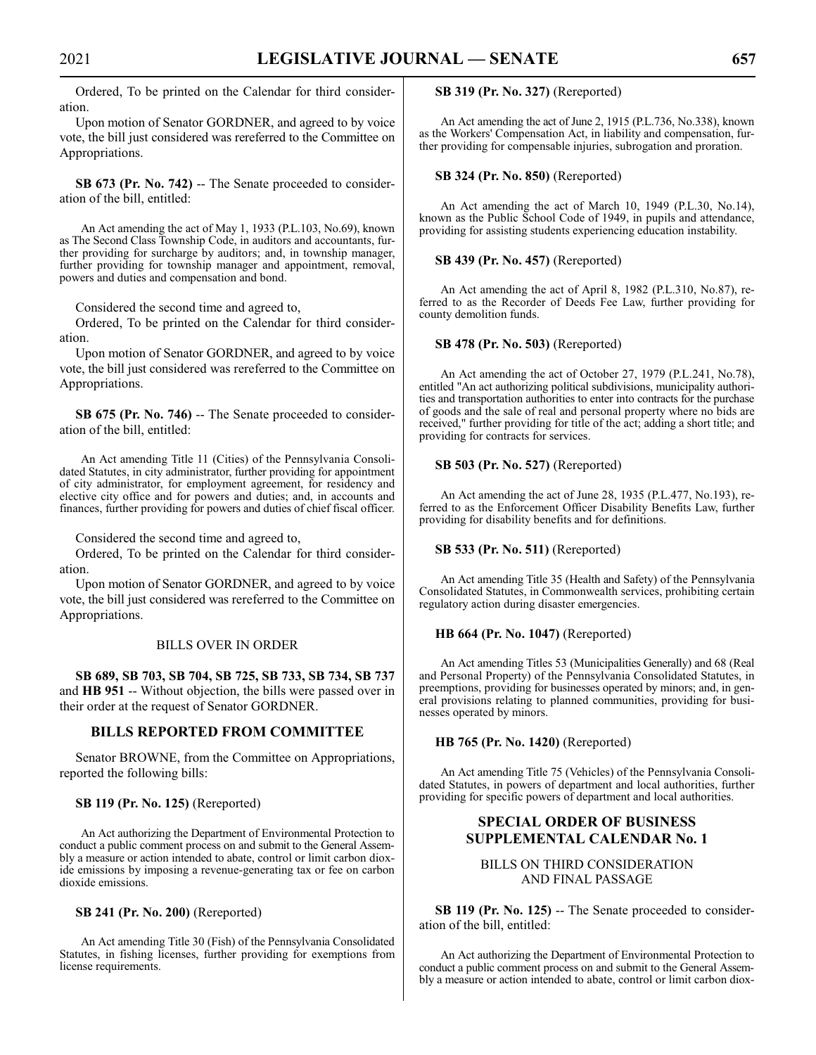Ordered, To be printed on the Calendar for third consideration.

Upon motion of Senator GORDNER, and agreed to by voice vote, the bill just considered was rereferred to the Committee on Appropriations.

**SB 673 (Pr. No. 742)** -- The Senate proceeded to consideration of the bill, entitled:

An Act amending the act of May 1, 1933 (P.L.103, No.69), known as The Second Class Township Code, in auditors and accountants, further providing for surcharge by auditors; and, in township manager, further providing for township manager and appointment, removal, powers and duties and compensation and bond.

Considered the second time and agreed to,

Ordered, To be printed on the Calendar for third consideration.

Upon motion of Senator GORDNER, and agreed to by voice vote, the bill just considered was rereferred to the Committee on Appropriations.

**SB 675 (Pr. No. 746)** -- The Senate proceeded to consideration of the bill, entitled:

An Act amending Title 11 (Cities) of the Pennsylvania Consolidated Statutes, in city administrator, further providing for appointment of city administrator, for employment agreement, for residency and elective city office and for powers and duties; and, in accounts and finances, further providing for powers and duties of chief fiscal officer.

Considered the second time and agreed to,

Ordered, To be printed on the Calendar for third consideration.

Upon motion of Senator GORDNER, and agreed to by voice vote, the bill just considered was rereferred to the Committee on Appropriations.

# BILLS OVER IN ORDER

**SB 689, SB 703, SB 704, SB 725, SB 733, SB 734, SB 737** and **HB 951** -- Without objection, the bills were passed over in their order at the request of Senator GORDNER.

# **BILLS REPORTED FROM COMMITTEE**

Senator BROWNE, from the Committee on Appropriations, reported the following bills:

#### **SB 119 (Pr. No. 125)** (Rereported)

An Act authorizing the Department of Environmental Protection to conduct a public comment process on and submit to the General Assembly a measure or action intended to abate, control or limit carbon dioxide emissions by imposing a revenue-generating tax or fee on carbon dioxide emissions.

#### **SB 241 (Pr. No. 200)** (Rereported)

An Act amending Title 30 (Fish) of the Pennsylvania Consolidated Statutes, in fishing licenses, further providing for exemptions from license requirements.

**SB 319 (Pr. No. 327)** (Rereported)

An Act amending the act of June 2, 1915 (P.L.736, No.338), known as the Workers' Compensation Act, in liability and compensation, further providing for compensable injuries, subrogation and proration.

#### **SB 324 (Pr. No. 850)** (Rereported)

An Act amending the act of March 10, 1949 (P.L.30, No.14), known as the Public School Code of 1949, in pupils and attendance, providing for assisting students experiencing education instability.

## **SB 439 (Pr. No. 457)** (Rereported)

An Act amending the act of April 8, 1982 (P.L.310, No.87), referred to as the Recorder of Deeds Fee Law, further providing for county demolition funds.

#### **SB 478 (Pr. No. 503)** (Rereported)

An Act amending the act of October 27, 1979 (P.L.241, No.78), entitled "An act authorizing political subdivisions, municipality authorities and transportation authorities to enter into contracts for the purchase of goods and the sale of real and personal property where no bids are received," further providing for title of the act; adding a short title; and providing for contracts for services.

#### **SB 503 (Pr. No. 527)** (Rereported)

An Act amending the act of June 28, 1935 (P.L.477, No.193), referred to as the Enforcement Officer Disability Benefits Law, further providing for disability benefits and for definitions.

#### **SB 533 (Pr. No. 511)** (Rereported)

An Act amending Title 35 (Health and Safety) of the Pennsylvania Consolidated Statutes, in Commonwealth services, prohibiting certain regulatory action during disaster emergencies.

#### **HB 664 (Pr. No. 1047)** (Rereported)

An Act amending Titles 53 (Municipalities Generally) and 68 (Real and Personal Property) of the Pennsylvania Consolidated Statutes, in preemptions, providing for businesses operated by minors; and, in general provisions relating to planned communities, providing for businesses operated by minors.

#### **HB 765 (Pr. No. 1420)** (Rereported)

An Act amending Title 75 (Vehicles) of the Pennsylvania Consolidated Statutes, in powers of department and local authorities, further providing for specific powers of department and local authorities.

# **SPECIAL ORDER OF BUSINESS SUPPLEMENTAL CALENDAR No. 1**

# BILLS ON THIRD CONSIDERATION AND FINAL PASSAGE

**SB 119 (Pr. No. 125)** -- The Senate proceeded to consideration of the bill, entitled:

An Act authorizing the Department of Environmental Protection to conduct a public comment process on and submit to the General Assembly a measure or action intended to abate, control or limit carbon diox-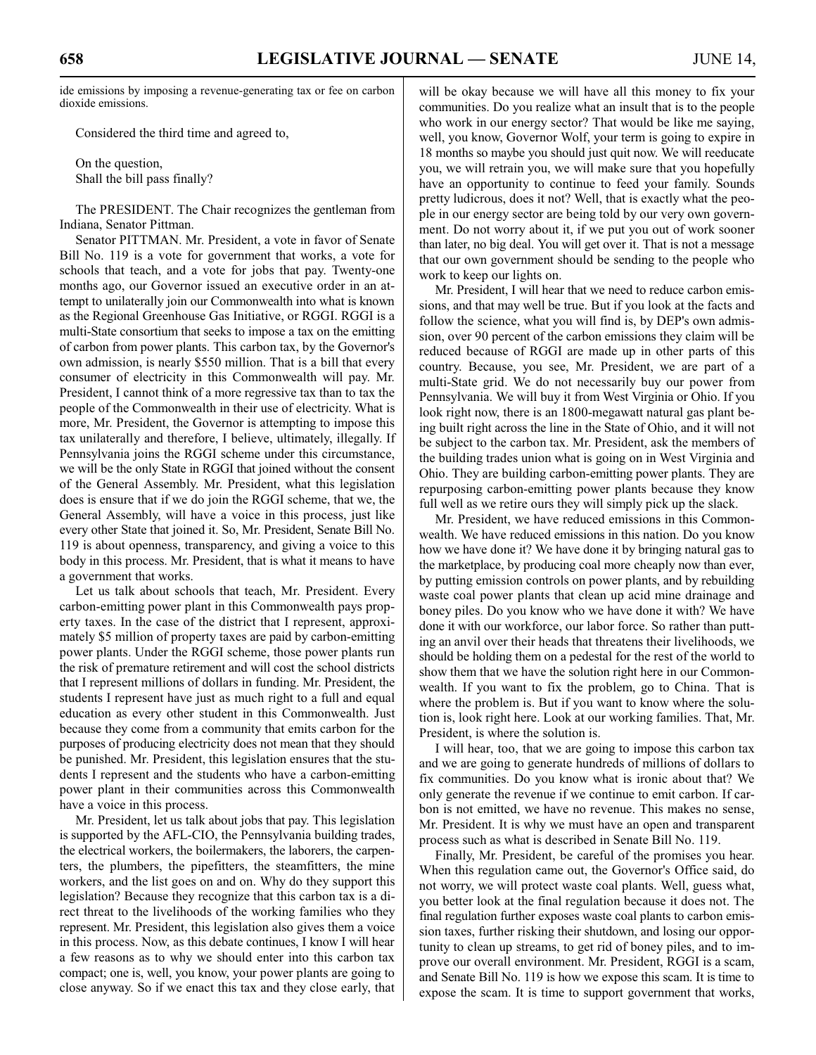ide emissions by imposing a revenue-generating tax or fee on carbon dioxide emissions.

Considered the third time and agreed to,

On the question, Shall the bill pass finally?

The PRESIDENT. The Chair recognizes the gentleman from Indiana, Senator Pittman.

Senator PITTMAN. Mr. President, a vote in favor of Senate Bill No. 119 is a vote for government that works, a vote for schools that teach, and a vote for jobs that pay. Twenty-one months ago, our Governor issued an executive order in an attempt to unilaterally join our Commonwealth into what is known as the Regional Greenhouse Gas Initiative, or RGGI. RGGI is a multi-State consortium that seeks to impose a tax on the emitting of carbon from power plants. This carbon tax, by the Governor's own admission, is nearly \$550 million. That is a bill that every consumer of electricity in this Commonwealth will pay. Mr. President, I cannot think of a more regressive tax than to tax the people of the Commonwealth in their use of electricity. What is more, Mr. President, the Governor is attempting to impose this tax unilaterally and therefore, I believe, ultimately, illegally. If Pennsylvania joins the RGGI scheme under this circumstance, we will be the only State in RGGI that joined without the consent of the General Assembly. Mr. President, what this legislation does is ensure that if we do join the RGGI scheme, that we, the General Assembly, will have a voice in this process, just like every other State that joined it. So, Mr. President, Senate Bill No. 119 is about openness, transparency, and giving a voice to this body in this process. Mr. President, that is what it means to have a government that works.

Let us talk about schools that teach, Mr. President. Every carbon-emitting power plant in this Commonwealth pays property taxes. In the case of the district that I represent, approximately \$5 million of property taxes are paid by carbon-emitting power plants. Under the RGGI scheme, those power plants run the risk of premature retirement and will cost the school districts that I represent millions of dollars in funding. Mr. President, the students I represent have just as much right to a full and equal education as every other student in this Commonwealth. Just because they come from a community that emits carbon for the purposes of producing electricity does not mean that they should be punished. Mr. President, this legislation ensures that the students I represent and the students who have a carbon-emitting power plant in their communities across this Commonwealth have a voice in this process.

Mr. President, let us talk about jobs that pay. This legislation is supported by the AFL-CIO, the Pennsylvania building trades, the electrical workers, the boilermakers, the laborers, the carpenters, the plumbers, the pipefitters, the steamfitters, the mine workers, and the list goes on and on. Why do they support this legislation? Because they recognize that this carbon tax is a direct threat to the livelihoods of the working families who they represent. Mr. President, this legislation also gives them a voice in this process. Now, as this debate continues, I know I will hear a few reasons as to why we should enter into this carbon tax compact; one is, well, you know, your power plants are going to close anyway. So if we enact this tax and they close early, that will be okay because we will have all this money to fix your communities. Do you realize what an insult that is to the people who work in our energy sector? That would be like me saying, well, you know, Governor Wolf, your term is going to expire in 18 months so maybe you should just quit now. We will reeducate you, we will retrain you, we will make sure that you hopefully have an opportunity to continue to feed your family. Sounds pretty ludicrous, does it not? Well, that is exactly what the people in our energy sector are being told by our very own government. Do not worry about it, if we put you out of work sooner than later, no big deal. You will get over it. That is not a message that our own government should be sending to the people who work to keep our lights on.

Mr. President, I will hear that we need to reduce carbon emissions, and that may well be true. But if you look at the facts and follow the science, what you will find is, by DEP's own admission, over 90 percent of the carbon emissions they claim will be reduced because of RGGI are made up in other parts of this country. Because, you see, Mr. President, we are part of a multi-State grid. We do not necessarily buy our power from Pennsylvania. We will buy it from West Virginia or Ohio. If you look right now, there is an 1800-megawatt natural gas plant being built right across the line in the State of Ohio, and it will not be subject to the carbon tax. Mr. President, ask the members of the building trades union what is going on in West Virginia and Ohio. They are building carbon-emitting power plants. They are repurposing carbon-emitting power plants because they know full well as we retire ours they will simply pick up the slack.

Mr. President, we have reduced emissions in this Commonwealth. We have reduced emissions in this nation. Do you know how we have done it? We have done it by bringing natural gas to the marketplace, by producing coal more cheaply now than ever, by putting emission controls on power plants, and by rebuilding waste coal power plants that clean up acid mine drainage and boney piles. Do you know who we have done it with? We have done it with our workforce, our labor force. So rather than putting an anvil over their heads that threatens their livelihoods, we should be holding them on a pedestal for the rest of the world to show them that we have the solution right here in our Commonwealth. If you want to fix the problem, go to China. That is where the problem is. But if you want to know where the solution is, look right here. Look at our working families. That, Mr. President, is where the solution is.

I will hear, too, that we are going to impose this carbon tax and we are going to generate hundreds of millions of dollars to fix communities. Do you know what is ironic about that? We only generate the revenue if we continue to emit carbon. If carbon is not emitted, we have no revenue. This makes no sense, Mr. President. It is why we must have an open and transparent process such as what is described in Senate Bill No. 119.

Finally, Mr. President, be careful of the promises you hear. When this regulation came out, the Governor's Office said, do not worry, we will protect waste coal plants. Well, guess what, you better look at the final regulation because it does not. The final regulation further exposes waste coal plants to carbon emission taxes, further risking their shutdown, and losing our opportunity to clean up streams, to get rid of boney piles, and to improve our overall environment. Mr. President, RGGI is a scam, and Senate Bill No. 119 is how we expose this scam. It is time to expose the scam. It is time to support government that works,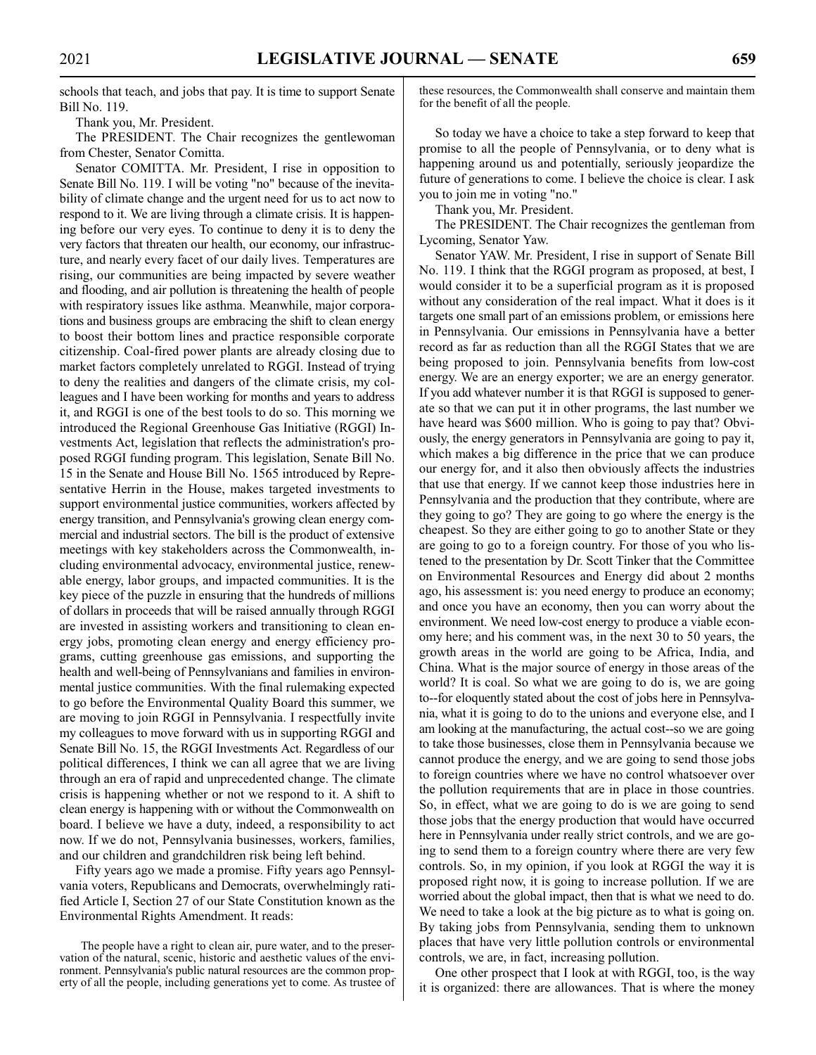2021 **LEGISLATIVE JOURNAL — SENATE 659**

schools that teach, and jobs that pay. It is time to support Senate Bill No. 119.

Thank you, Mr. President.

The PRESIDENT. The Chair recognizes the gentlewoman from Chester, Senator Comitta.

Senator COMITTA. Mr. President, I rise in opposition to Senate Bill No. 119. I will be voting "no" because of the inevitability of climate change and the urgent need for us to act now to respond to it. We are living through a climate crisis. It is happening before our very eyes. To continue to deny it is to deny the very factors that threaten our health, our economy, our infrastructure, and nearly every facet of our daily lives. Temperatures are rising, our communities are being impacted by severe weather and flooding, and air pollution is threatening the health of people with respiratory issues like asthma. Meanwhile, major corporations and business groups are embracing the shift to clean energy to boost their bottom lines and practice responsible corporate citizenship. Coal-fired power plants are already closing due to market factors completely unrelated to RGGI. Instead of trying to deny the realities and dangers of the climate crisis, my colleagues and I have been working for months and years to address it, and RGGI is one of the best tools to do so. This morning we introduced the Regional Greenhouse Gas Initiative (RGGI) Investments Act, legislation that reflects the administration's proposed RGGI funding program. This legislation, Senate Bill No. 15 in the Senate and House Bill No. 1565 introduced by Representative Herrin in the House, makes targeted investments to support environmental justice communities, workers affected by energy transition, and Pennsylvania's growing clean energy commercial and industrial sectors. The bill is the product of extensive meetings with key stakeholders across the Commonwealth, including environmental advocacy, environmental justice, renewable energy, labor groups, and impacted communities. It is the key piece of the puzzle in ensuring that the hundreds of millions of dollars in proceeds that will be raised annually through RGGI are invested in assisting workers and transitioning to clean energy jobs, promoting clean energy and energy efficiency programs, cutting greenhouse gas emissions, and supporting the health and well-being of Pennsylvanians and families in environmental justice communities. With the final rulemaking expected to go before the Environmental Quality Board this summer, we are moving to join RGGI in Pennsylvania. I respectfully invite my colleagues to move forward with us in supporting RGGI and Senate Bill No. 15, the RGGI Investments Act. Regardless of our political differences, I think we can all agree that we are living through an era of rapid and unprecedented change. The climate crisis is happening whether or not we respond to it. A shift to clean energy is happening with or without the Commonwealth on board. I believe we have a duty, indeed, a responsibility to act now. If we do not, Pennsylvania businesses, workers, families, and our children and grandchildren risk being left behind.

Fifty years ago we made a promise. Fifty years ago Pennsylvania voters, Republicans and Democrats, overwhelmingly ratified Article I, Section 27 of our State Constitution known as the Environmental Rights Amendment. It reads:

The people have a right to clean air, pure water, and to the preservation of the natural, scenic, historic and aesthetic values of the environment. Pennsylvania's public natural resources are the common property of all the people, including generations yet to come. As trustee of these resources, the Commonwealth shall conserve and maintain them for the benefit of all the people.

So today we have a choice to take a step forward to keep that promise to all the people of Pennsylvania, or to deny what is happening around us and potentially, seriously jeopardize the future of generations to come. I believe the choice is clear. I ask you to join me in voting "no."

Thank you, Mr. President.

The PRESIDENT. The Chair recognizes the gentleman from Lycoming, Senator Yaw.

Senator YAW. Mr. President, I rise in support of Senate Bill No. 119. I think that the RGGI program as proposed, at best, I would consider it to be a superficial program as it is proposed without any consideration of the real impact. What it does is it targets one small part of an emissions problem, or emissions here in Pennsylvania. Our emissions in Pennsylvania have a better record as far as reduction than all the RGGI States that we are being proposed to join. Pennsylvania benefits from low-cost energy. We are an energy exporter; we are an energy generator. If you add whatever number it is that RGGI is supposed to generate so that we can put it in other programs, the last number we have heard was \$600 million. Who is going to pay that? Obviously, the energy generators in Pennsylvania are going to pay it, which makes a big difference in the price that we can produce our energy for, and it also then obviously affects the industries that use that energy. If we cannot keep those industries here in Pennsylvania and the production that they contribute, where are they going to go? They are going to go where the energy is the cheapest. So they are either going to go to another State or they are going to go to a foreign country. For those of you who listened to the presentation by Dr. Scott Tinker that the Committee on Environmental Resources and Energy did about 2 months ago, his assessment is: you need energy to produce an economy; and once you have an economy, then you can worry about the environment. We need low-cost energy to produce a viable economy here; and his comment was, in the next 30 to 50 years, the growth areas in the world are going to be Africa, India, and China. What is the major source of energy in those areas of the world? It is coal. So what we are going to do is, we are going to--for eloquently stated about the cost of jobs here in Pennsylvania, what it is going to do to the unions and everyone else, and I am looking at the manufacturing, the actual cost--so we are going to take those businesses, close them in Pennsylvania because we cannot produce the energy, and we are going to send those jobs to foreign countries where we have no control whatsoever over the pollution requirements that are in place in those countries. So, in effect, what we are going to do is we are going to send those jobs that the energy production that would have occurred here in Pennsylvania under really strict controls, and we are going to send them to a foreign country where there are very few controls. So, in my opinion, if you look at RGGI the way it is proposed right now, it is going to increase pollution. If we are worried about the global impact, then that is what we need to do. We need to take a look at the big picture as to what is going on. By taking jobs from Pennsylvania, sending them to unknown places that have very little pollution controls or environmental controls, we are, in fact, increasing pollution.

One other prospect that I look at with RGGI, too, is the way it is organized: there are allowances. That is where the money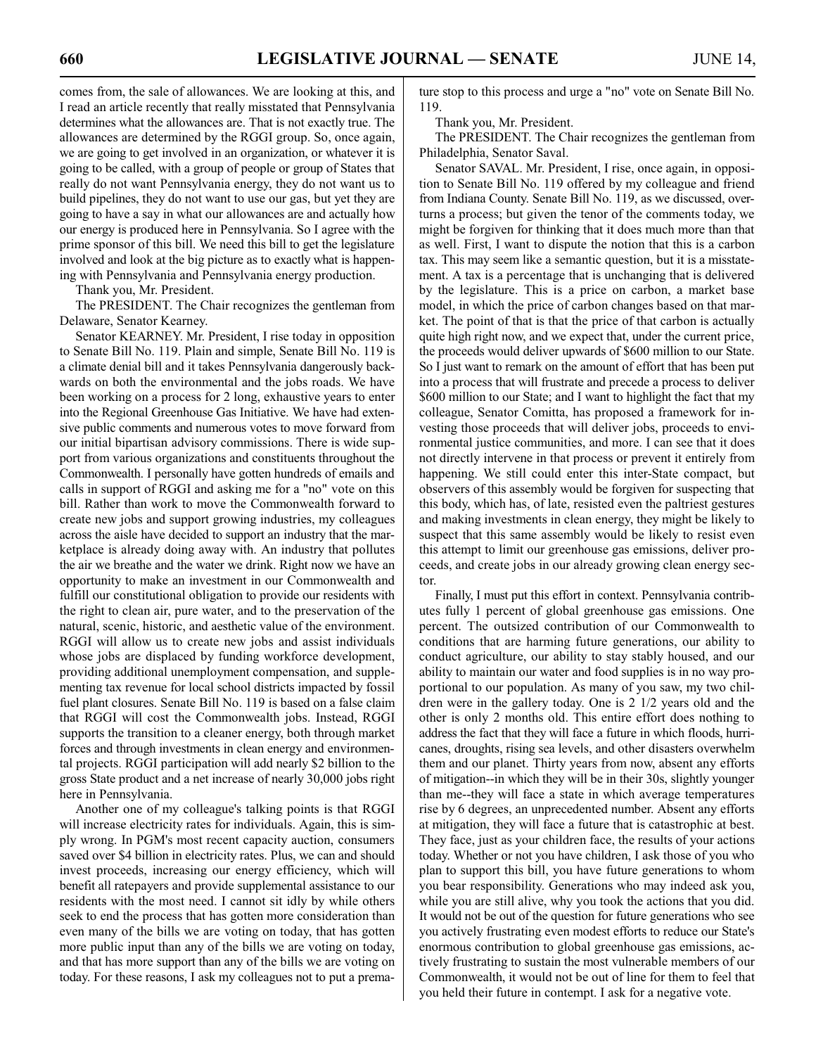comes from, the sale of allowances. We are looking at this, and I read an article recently that really misstated that Pennsylvania determines what the allowances are. That is not exactly true. The allowances are determined by the RGGI group. So, once again, we are going to get involved in an organization, or whatever it is going to be called, with a group of people or group of States that really do not want Pennsylvania energy, they do not want us to build pipelines, they do not want to use our gas, but yet they are going to have a say in what our allowances are and actually how our energy is produced here in Pennsylvania. So I agree with the prime sponsor of this bill. We need this bill to get the legislature involved and look at the big picture as to exactly what is happening with Pennsylvania and Pennsylvania energy production.

Thank you, Mr. President.

The PRESIDENT. The Chair recognizes the gentleman from Delaware, Senator Kearney.

Senator KEARNEY. Mr. President, I rise today in opposition to Senate Bill No. 119. Plain and simple, Senate Bill No. 119 is a climate denial bill and it takes Pennsylvania dangerously backwards on both the environmental and the jobs roads. We have been working on a process for 2 long, exhaustive years to enter into the Regional Greenhouse Gas Initiative. We have had extensive public comments and numerous votes to move forward from our initial bipartisan advisory commissions. There is wide support from various organizations and constituents throughout the Commonwealth. I personally have gotten hundreds of emails and calls in support of RGGI and asking me for a "no" vote on this bill. Rather than work to move the Commonwealth forward to create new jobs and support growing industries, my colleagues across the aisle have decided to support an industry that the marketplace is already doing away with. An industry that pollutes the air we breathe and the water we drink. Right now we have an opportunity to make an investment in our Commonwealth and fulfill our constitutional obligation to provide our residents with the right to clean air, pure water, and to the preservation of the natural, scenic, historic, and aesthetic value of the environment. RGGI will allow us to create new jobs and assist individuals whose jobs are displaced by funding workforce development, providing additional unemployment compensation, and supplementing tax revenue for local school districts impacted by fossil fuel plant closures. Senate Bill No. 119 is based on a false claim that RGGI will cost the Commonwealth jobs. Instead, RGGI supports the transition to a cleaner energy, both through market forces and through investments in clean energy and environmental projects. RGGI participation will add nearly \$2 billion to the gross State product and a net increase of nearly 30,000 jobs right here in Pennsylvania.

Another one of my colleague's talking points is that RGGI will increase electricity rates for individuals. Again, this is simply wrong. In PGM's most recent capacity auction, consumers saved over \$4 billion in electricity rates. Plus, we can and should invest proceeds, increasing our energy efficiency, which will benefit all ratepayers and provide supplemental assistance to our residents with the most need. I cannot sit idly by while others seek to end the process that has gotten more consideration than even many of the bills we are voting on today, that has gotten more public input than any of the bills we are voting on today, and that has more support than any of the bills we are voting on today. For these reasons, I ask my colleagues not to put a premature stop to this process and urge a "no" vote on Senate Bill No. 119.

Thank you, Mr. President.

The PRESIDENT. The Chair recognizes the gentleman from Philadelphia, Senator Saval.

Senator SAVAL. Mr. President, I rise, once again, in opposition to Senate Bill No. 119 offered by my colleague and friend from Indiana County. Senate Bill No. 119, as we discussed, overturns a process; but given the tenor of the comments today, we might be forgiven for thinking that it does much more than that as well. First, I want to dispute the notion that this is a carbon tax. This may seem like a semantic question, but it is a misstatement. A tax is a percentage that is unchanging that is delivered by the legislature. This is a price on carbon, a market base model, in which the price of carbon changes based on that market. The point of that is that the price of that carbon is actually quite high right now, and we expect that, under the current price, the proceeds would deliver upwards of \$600 million to our State. So I just want to remark on the amount of effort that has been put into a process that will frustrate and precede a process to deliver \$600 million to our State; and I want to highlight the fact that my colleague, Senator Comitta, has proposed a framework for investing those proceeds that will deliver jobs, proceeds to environmental justice communities, and more. I can see that it does not directly intervene in that process or prevent it entirely from happening. We still could enter this inter-State compact, but observers of this assembly would be forgiven for suspecting that this body, which has, of late, resisted even the paltriest gestures and making investments in clean energy, they might be likely to suspect that this same assembly would be likely to resist even this attempt to limit our greenhouse gas emissions, deliver proceeds, and create jobs in our already growing clean energy sector.

Finally, I must put this effort in context. Pennsylvania contributes fully 1 percent of global greenhouse gas emissions. One percent. The outsized contribution of our Commonwealth to conditions that are harming future generations, our ability to conduct agriculture, our ability to stay stably housed, and our ability to maintain our water and food supplies is in no way proportional to our population. As many of you saw, my two children were in the gallery today. One is 2 1/2 years old and the other is only 2 months old. This entire effort does nothing to address the fact that they will face a future in which floods, hurricanes, droughts, rising sea levels, and other disasters overwhelm them and our planet. Thirty years from now, absent any efforts of mitigation--in which they will be in their 30s, slightly younger than me--they will face a state in which average temperatures rise by 6 degrees, an unprecedented number. Absent any efforts at mitigation, they will face a future that is catastrophic at best. They face, just as your children face, the results of your actions today. Whether or not you have children, I ask those of you who plan to support this bill, you have future generations to whom you bear responsibility. Generations who may indeed ask you, while you are still alive, why you took the actions that you did. It would not be out of the question for future generations who see you actively frustrating even modest efforts to reduce our State's enormous contribution to global greenhouse gas emissions, actively frustrating to sustain the most vulnerable members of our Commonwealth, it would not be out of line for them to feel that you held their future in contempt. I ask for a negative vote.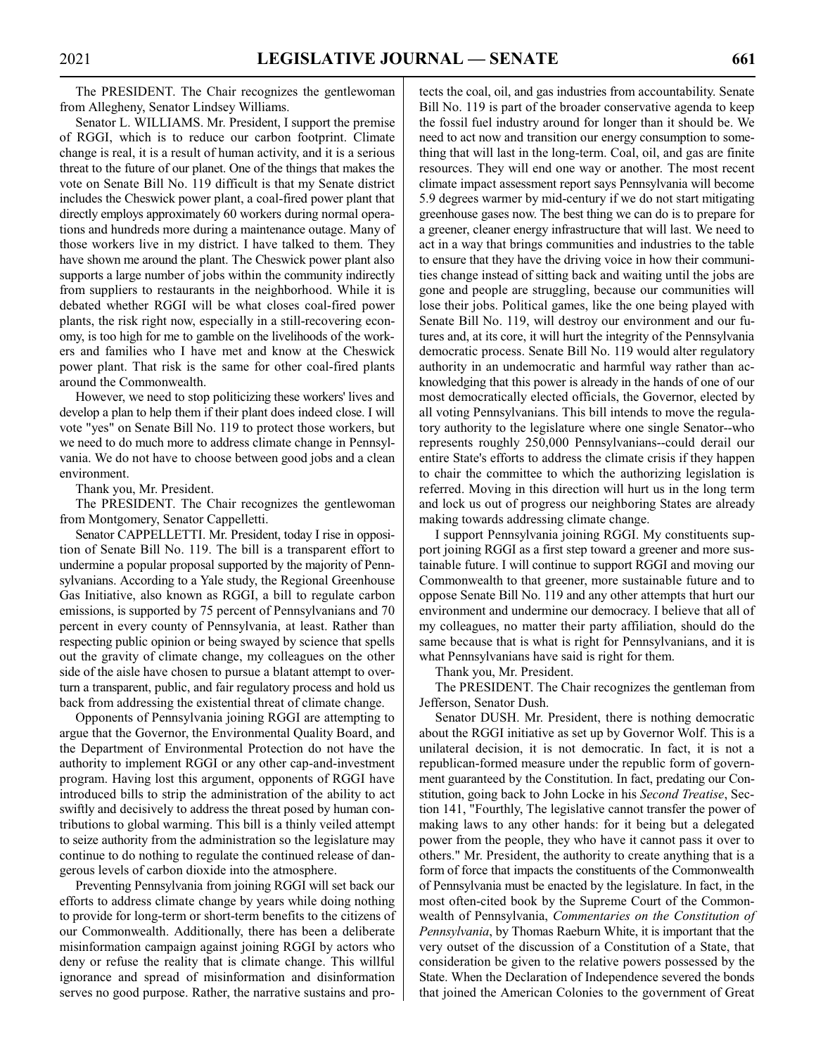The PRESIDENT. The Chair recognizes the gentlewoman from Allegheny, Senator Lindsey Williams.

Senator L. WILLIAMS. Mr. President, I support the premise of RGGI, which is to reduce our carbon footprint. Climate change is real, it is a result of human activity, and it is a serious threat to the future of our planet. One of the things that makes the vote on Senate Bill No. 119 difficult is that my Senate district includes the Cheswick power plant, a coal-fired power plant that directly employs approximately 60 workers during normal operations and hundreds more during a maintenance outage. Many of those workers live in my district. I have talked to them. They have shown me around the plant. The Cheswick power plant also supports a large number of jobs within the community indirectly from suppliers to restaurants in the neighborhood. While it is debated whether RGGI will be what closes coal-fired power plants, the risk right now, especially in a still-recovering economy, is too high for me to gamble on the livelihoods of the workers and families who I have met and know at the Cheswick power plant. That risk is the same for other coal-fired plants around the Commonwealth.

However, we need to stop politicizing these workers' lives and develop a plan to help them if their plant does indeed close. I will vote "yes" on Senate Bill No. 119 to protect those workers, but we need to do much more to address climate change in Pennsylvania. We do not have to choose between good jobs and a clean environment.

Thank you, Mr. President.

The PRESIDENT. The Chair recognizes the gentlewoman from Montgomery, Senator Cappelletti.

Senator CAPPELLETTI. Mr. President, today I rise in opposition of Senate Bill No. 119. The bill is a transparent effort to undermine a popular proposal supported by the majority of Pennsylvanians. According to a Yale study, the Regional Greenhouse Gas Initiative, also known as RGGI, a bill to regulate carbon emissions, is supported by 75 percent of Pennsylvanians and 70 percent in every county of Pennsylvania, at least. Rather than respecting public opinion or being swayed by science that spells out the gravity of climate change, my colleagues on the other side of the aisle have chosen to pursue a blatant attempt to overturn a transparent, public, and fair regulatory process and hold us back from addressing the existential threat of climate change.

Opponents of Pennsylvania joining RGGI are attempting to argue that the Governor, the Environmental Quality Board, and the Department of Environmental Protection do not have the authority to implement RGGI or any other cap-and-investment program. Having lost this argument, opponents of RGGI have introduced bills to strip the administration of the ability to act swiftly and decisively to address the threat posed by human contributions to global warming. This bill is a thinly veiled attempt to seize authority from the administration so the legislature may continue to do nothing to regulate the continued release of dangerous levels of carbon dioxide into the atmosphere.

Preventing Pennsylvania from joining RGGI will set back our efforts to address climate change by years while doing nothing to provide for long-term or short-term benefits to the citizens of our Commonwealth. Additionally, there has been a deliberate misinformation campaign against joining RGGI by actors who deny or refuse the reality that is climate change. This willful ignorance and spread of misinformation and disinformation serves no good purpose. Rather, the narrative sustains and protects the coal, oil, and gas industries from accountability. Senate Bill No. 119 is part of the broader conservative agenda to keep the fossil fuel industry around for longer than it should be. We need to act now and transition our energy consumption to something that will last in the long-term. Coal, oil, and gas are finite resources. They will end one way or another. The most recent climate impact assessment report says Pennsylvania will become 5.9 degrees warmer by mid-century if we do not start mitigating greenhouse gases now. The best thing we can do is to prepare for a greener, cleaner energy infrastructure that will last. We need to act in a way that brings communities and industries to the table to ensure that they have the driving voice in how their communities change instead of sitting back and waiting until the jobs are gone and people are struggling, because our communities will lose their jobs. Political games, like the one being played with Senate Bill No. 119, will destroy our environment and our futures and, at its core, it will hurt the integrity of the Pennsylvania democratic process. Senate Bill No. 119 would alter regulatory authority in an undemocratic and harmful way rather than acknowledging that this power is already in the hands of one of our most democratically elected officials, the Governor, elected by all voting Pennsylvanians. This bill intends to move the regulatory authority to the legislature where one single Senator--who represents roughly 250,000 Pennsylvanians--could derail our entire State's efforts to address the climate crisis if they happen to chair the committee to which the authorizing legislation is referred. Moving in this direction will hurt us in the long term and lock us out of progress our neighboring States are already making towards addressing climate change.

I support Pennsylvania joining RGGI. My constituents support joining RGGI as a first step toward a greener and more sustainable future. I will continue to support RGGI and moving our Commonwealth to that greener, more sustainable future and to oppose Senate Bill No. 119 and any other attempts that hurt our environment and undermine our democracy. I believe that all of my colleagues, no matter their party affiliation, should do the same because that is what is right for Pennsylvanians, and it is what Pennsylvanians have said is right for them.

Thank you, Mr. President.

The PRESIDENT. The Chair recognizes the gentleman from Jefferson, Senator Dush.

Senator DUSH. Mr. President, there is nothing democratic about the RGGI initiative as set up by Governor Wolf. This is a unilateral decision, it is not democratic. In fact, it is not a republican-formed measure under the republic form of government guaranteed by the Constitution. In fact, predating our Constitution, going back to John Locke in his *Second Treatise*, Section 141, "Fourthly, The legislative cannot transfer the power of making laws to any other hands: for it being but a delegated power from the people, they who have it cannot pass it over to others." Mr. President, the authority to create anything that is a form of force that impacts the constituents of the Commonwealth of Pennsylvania must be enacted by the legislature. In fact, in the most often-cited book by the Supreme Court of the Commonwealth of Pennsylvania, *Commentaries on the Constitution of Pennsylvania*, by Thomas Raeburn White, it is important that the very outset of the discussion of a Constitution of a State, that consideration be given to the relative powers possessed by the State. When the Declaration of Independence severed the bonds that joined the American Colonies to the government of Great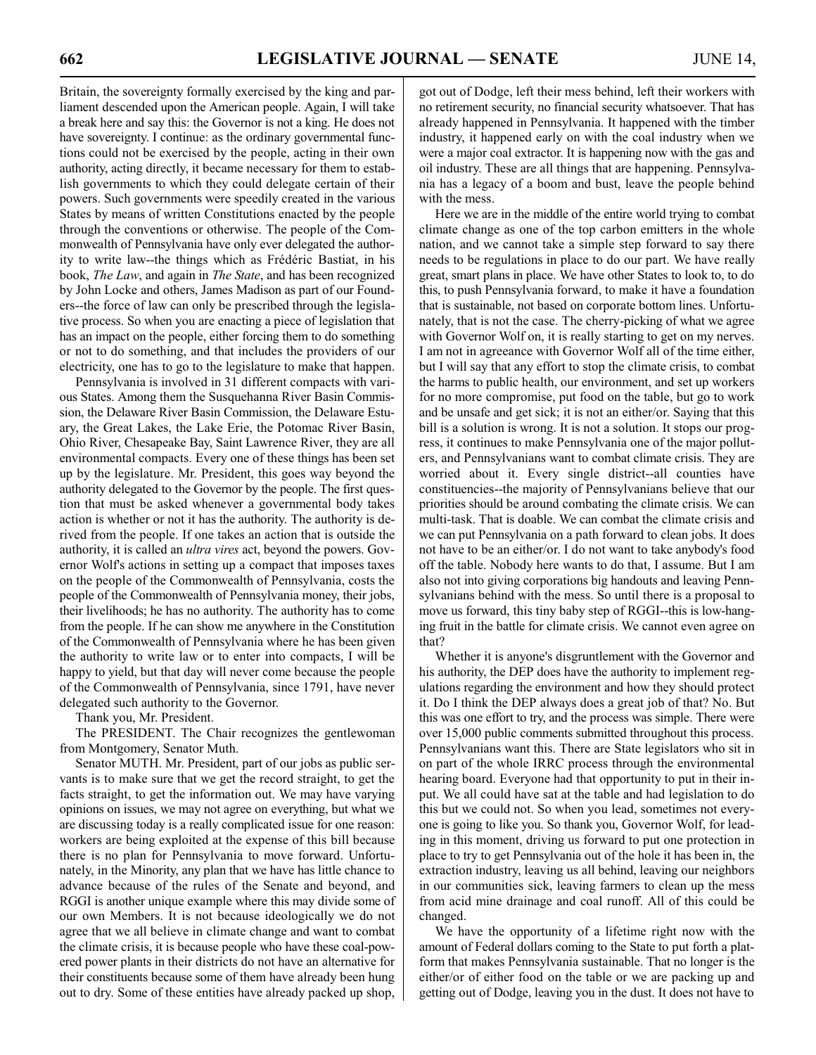Britain, the sovereignty formally exercised by the king and parliament descended upon the American people. Again, I will take a break here and say this: the Governor is not a king. He does not have sovereignty. I continue: as the ordinary governmental functions could not be exercised by the people, acting in their own authority, acting directly, it became necessary for them to establish governments to which they could delegate certain of their powers. Such governments were speedily created in the various States by means of written Constitutions enacted by the people through the conventions or otherwise. The people of the Commonwealth of Pennsylvania have only ever delegated the authority to write law--the things which as Frédéric Bastiat, in his book, *The Law*, and again in *The State*, and has been recognized by John Locke and others, James Madison as part of our Founders--the force of law can only be prescribed through the legislative process. So when you are enacting a piece of legislation that has an impact on the people, either forcing them to do something or not to do something, and that includes the providers of our electricity, one has to go to the legislature to make that happen.

Pennsylvania is involved in 31 different compacts with various States. Among them the Susquehanna River Basin Commission, the Delaware River Basin Commission, the Delaware Estuary, the Great Lakes, the Lake Erie, the Potomac River Basin, Ohio River, Chesapeake Bay, Saint Lawrence River, they are all environmental compacts. Every one of these things has been set up by the legislature. Mr. President, this goes way beyond the authority delegated to the Governor by the people. The first question that must be asked whenever a governmental body takes action is whether or not it has the authority. The authority is derived from the people. If one takes an action that is outside the authority, it is called an *ultra vires* act, beyond the powers. Governor Wolf's actions in setting up a compact that imposes taxes on the people of the Commonwealth of Pennsylvania, costs the people of the Commonwealth of Pennsylvania money, their jobs, their livelihoods; he has no authority. The authority has to come from the people. If he can show me anywhere in the Constitution of the Commonwealth of Pennsylvania where he has been given the authority to write law or to enter into compacts, I will be happy to yield, but that day will never come because the people of the Commonwealth of Pennsylvania, since 1791, have never delegated such authority to the Governor.

Thank you, Mr. President.

The PRESIDENT. The Chair recognizes the gentlewoman from Montgomery, Senator Muth.

Senator MUTH. Mr. President, part of our jobs as public servants is to make sure that we get the record straight, to get the facts straight, to get the information out. We may have varying opinions on issues, we may not agree on everything, but what we are discussing today is a really complicated issue for one reason: workers are being exploited at the expense of this bill because there is no plan for Pennsylvania to move forward. Unfortunately, in the Minority, any plan that we have has little chance to advance because of the rules of the Senate and beyond, and RGGI is another unique example where this may divide some of our own Members. It is not because ideologically we do not agree that we all believe in climate change and want to combat the climate crisis, it is because people who have these coal-powered power plants in their districts do not have an alternative for their constituents because some of them have already been hung out to dry. Some of these entities have already packed up shop, got out of Dodge, left their mess behind, left their workers with no retirement security, no financial security whatsoever. That has already happened in Pennsylvania. It happened with the timber industry, it happened early on with the coal industry when we were a major coal extractor. It is happening now with the gas and oil industry. These are all things that are happening. Pennsylvania has a legacy of a boom and bust, leave the people behind with the mess.

Here we are in the middle of the entire world trying to combat climate change as one of the top carbon emitters in the whole nation, and we cannot take a simple step forward to say there needs to be regulations in place to do our part. We have really great, smart plans in place. We have other States to look to, to do this, to push Pennsylvania forward, to make it have a foundation that is sustainable, not based on corporate bottom lines. Unfortunately, that is not the case. The cherry-picking of what we agree with Governor Wolf on, it is really starting to get on my nerves. I am not in agreeance with Governor Wolf all of the time either, but I will say that any effort to stop the climate crisis, to combat the harms to public health, our environment, and set up workers for no more compromise, put food on the table, but go to work and be unsafe and get sick; it is not an either/or. Saying that this bill is a solution is wrong. It is not a solution. It stops our progress, it continues to make Pennsylvania one of the major polluters, and Pennsylvanians want to combat climate crisis. They are worried about it. Every single district--all counties have constituencies--the majority of Pennsylvanians believe that our priorities should be around combating the climate crisis. We can multi-task. That is doable. We can combat the climate crisis and we can put Pennsylvania on a path forward to clean jobs. It does not have to be an either/or. I do not want to take anybody's food off the table. Nobody here wants to do that, I assume. But I am also not into giving corporations big handouts and leaving Pennsylvanians behind with the mess. So until there is a proposal to move us forward, this tiny baby step of RGGI--this is low-hanging fruit in the battle for climate crisis. We cannot even agree on that?

Whether it is anyone's disgruntlement with the Governor and his authority, the DEP does have the authority to implement regulations regarding the environment and how they should protect it. Do I think the DEP always does a great job of that? No. But this was one effort to try, and the process was simple. There were over 15,000 public comments submitted throughout this process. Pennsylvanians want this. There are State legislators who sit in on part of the whole IRRC process through the environmental hearing board. Everyone had that opportunity to put in their input. We all could have sat at the table and had legislation to do this but we could not. So when you lead, sometimes not everyone is going to like you. So thank you, Governor Wolf, for leading in this moment, driving us forward to put one protection in place to try to get Pennsylvania out of the hole it has been in, the extraction industry, leaving us all behind, leaving our neighbors in our communities sick, leaving farmers to clean up the mess from acid mine drainage and coal runoff. All of this could be changed.

We have the opportunity of a lifetime right now with the amount of Federal dollars coming to the State to put forth a platform that makes Pennsylvania sustainable. That no longer is the either/or of either food on the table or we are packing up and getting out of Dodge, leaving you in the dust. It does not have to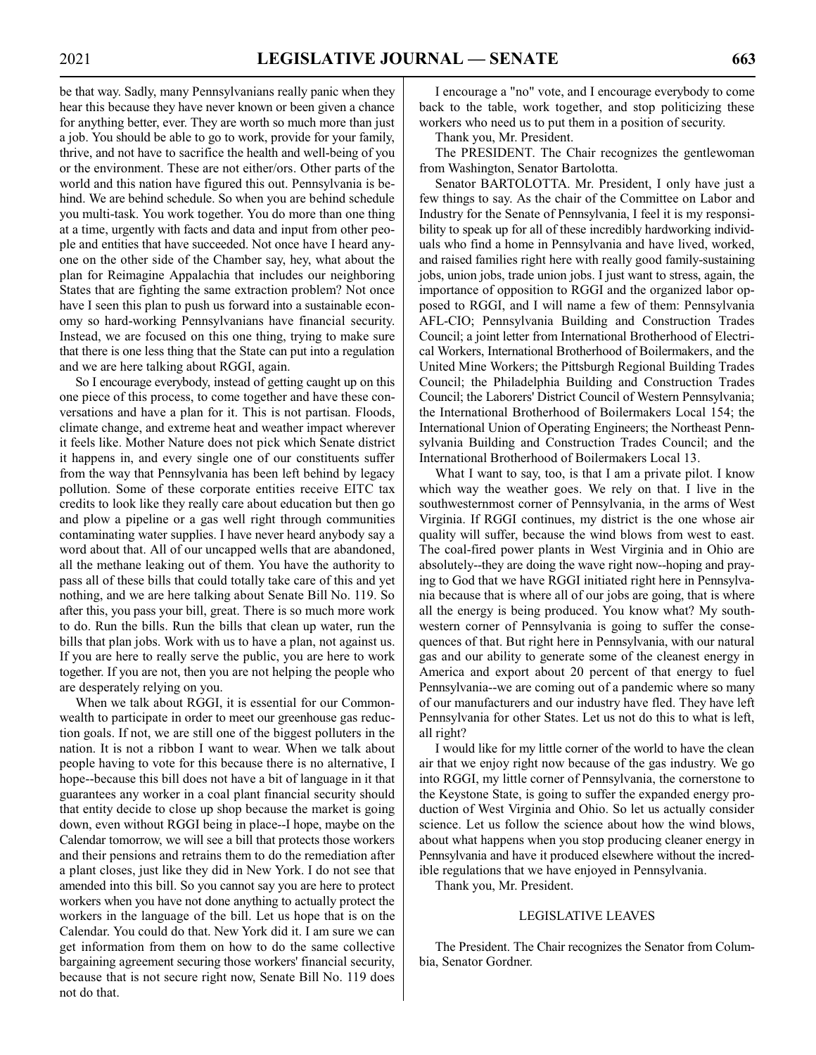be that way. Sadly, many Pennsylvanians really panic when they hear this because they have never known or been given a chance for anything better, ever. They are worth so much more than just a job. You should be able to go to work, provide for your family, thrive, and not have to sacrifice the health and well-being of you or the environment. These are not either/ors. Other parts of the world and this nation have figured this out. Pennsylvania is behind. We are behind schedule. So when you are behind schedule you multi-task. You work together. You do more than one thing at a time, urgently with facts and data and input from other people and entities that have succeeded. Not once have I heard anyone on the other side of the Chamber say, hey, what about the plan for Reimagine Appalachia that includes our neighboring States that are fighting the same extraction problem? Not once have I seen this plan to push us forward into a sustainable economy so hard-working Pennsylvanians have financial security. Instead, we are focused on this one thing, trying to make sure that there is one less thing that the State can put into a regulation and we are here talking about RGGI, again.

So I encourage everybody, instead of getting caught up on this one piece of this process, to come together and have these conversations and have a plan for it. This is not partisan. Floods, climate change, and extreme heat and weather impact wherever it feels like. Mother Nature does not pick which Senate district it happens in, and every single one of our constituents suffer from the way that Pennsylvania has been left behind by legacy pollution. Some of these corporate entities receive EITC tax credits to look like they really care about education but then go and plow a pipeline or a gas well right through communities contaminating water supplies. I have never heard anybody say a word about that. All of our uncapped wells that are abandoned, all the methane leaking out of them. You have the authority to pass all of these bills that could totally take care of this and yet nothing, and we are here talking about Senate Bill No. 119. So after this, you pass your bill, great. There is so much more work to do. Run the bills. Run the bills that clean up water, run the bills that plan jobs. Work with us to have a plan, not against us. If you are here to really serve the public, you are here to work together. If you are not, then you are not helping the people who are desperately relying on you.

When we talk about RGGI, it is essential for our Commonwealth to participate in order to meet our greenhouse gas reduction goals. If not, we are still one of the biggest polluters in the nation. It is not a ribbon I want to wear. When we talk about people having to vote for this because there is no alternative, I hope--because this bill does not have a bit of language in it that guarantees any worker in a coal plant financial security should that entity decide to close up shop because the market is going down, even without RGGI being in place--I hope, maybe on the Calendar tomorrow, we will see a bill that protects those workers and their pensions and retrains them to do the remediation after a plant closes, just like they did in New York. I do not see that amended into this bill. So you cannot say you are here to protect workers when you have not done anything to actually protect the workers in the language of the bill. Let us hope that is on the Calendar. You could do that. New York did it. I am sure we can get information from them on how to do the same collective bargaining agreement securing those workers' financial security, because that is not secure right now, Senate Bill No. 119 does not do that.

I encourage a "no" vote, and I encourage everybody to come back to the table, work together, and stop politicizing these workers who need us to put them in a position of security.

Thank you, Mr. President.

The PRESIDENT. The Chair recognizes the gentlewoman from Washington, Senator Bartolotta.

Senator BARTOLOTTA. Mr. President, I only have just a few things to say. As the chair of the Committee on Labor and Industry for the Senate of Pennsylvania, I feel it is my responsibility to speak up for all of these incredibly hardworking individuals who find a home in Pennsylvania and have lived, worked, and raised families right here with really good family-sustaining jobs, union jobs, trade union jobs. I just want to stress, again, the importance of opposition to RGGI and the organized labor opposed to RGGI, and I will name a few of them: Pennsylvania AFL-CIO; Pennsylvania Building and Construction Trades Council; a joint letter from International Brotherhood of Electrical Workers, International Brotherhood of Boilermakers, and the United Mine Workers; the Pittsburgh Regional Building Trades Council; the Philadelphia Building and Construction Trades Council; the Laborers' District Council of Western Pennsylvania; the International Brotherhood of Boilermakers Local 154; the International Union of Operating Engineers; the Northeast Pennsylvania Building and Construction Trades Council; and the International Brotherhood of Boilermakers Local 13.

What I want to say, too, is that I am a private pilot. I know which way the weather goes. We rely on that. I live in the southwesternmost corner of Pennsylvania, in the arms of West Virginia. If RGGI continues, my district is the one whose air quality will suffer, because the wind blows from west to east. The coal-fired power plants in West Virginia and in Ohio are absolutely--they are doing the wave right now--hoping and praying to God that we have RGGI initiated right here in Pennsylvania because that is where all of our jobs are going, that is where all the energy is being produced. You know what? My southwestern corner of Pennsylvania is going to suffer the consequences of that. But right here in Pennsylvania, with our natural gas and our ability to generate some of the cleanest energy in America and export about 20 percent of that energy to fuel Pennsylvania--we are coming out of a pandemic where so many of our manufacturers and our industry have fled. They have left Pennsylvania for other States. Let us not do this to what is left, all right?

I would like for my little corner of the world to have the clean air that we enjoy right now because of the gas industry. We go into RGGI, my little corner of Pennsylvania, the cornerstone to the Keystone State, is going to suffer the expanded energy production of West Virginia and Ohio. So let us actually consider science. Let us follow the science about how the wind blows, about what happens when you stop producing cleaner energy in Pennsylvania and have it produced elsewhere without the incredible regulations that we have enjoyed in Pennsylvania.

Thank you, Mr. President.

# LEGISLATIVE LEAVES

The President. The Chair recognizes the Senator from Columbia, Senator Gordner.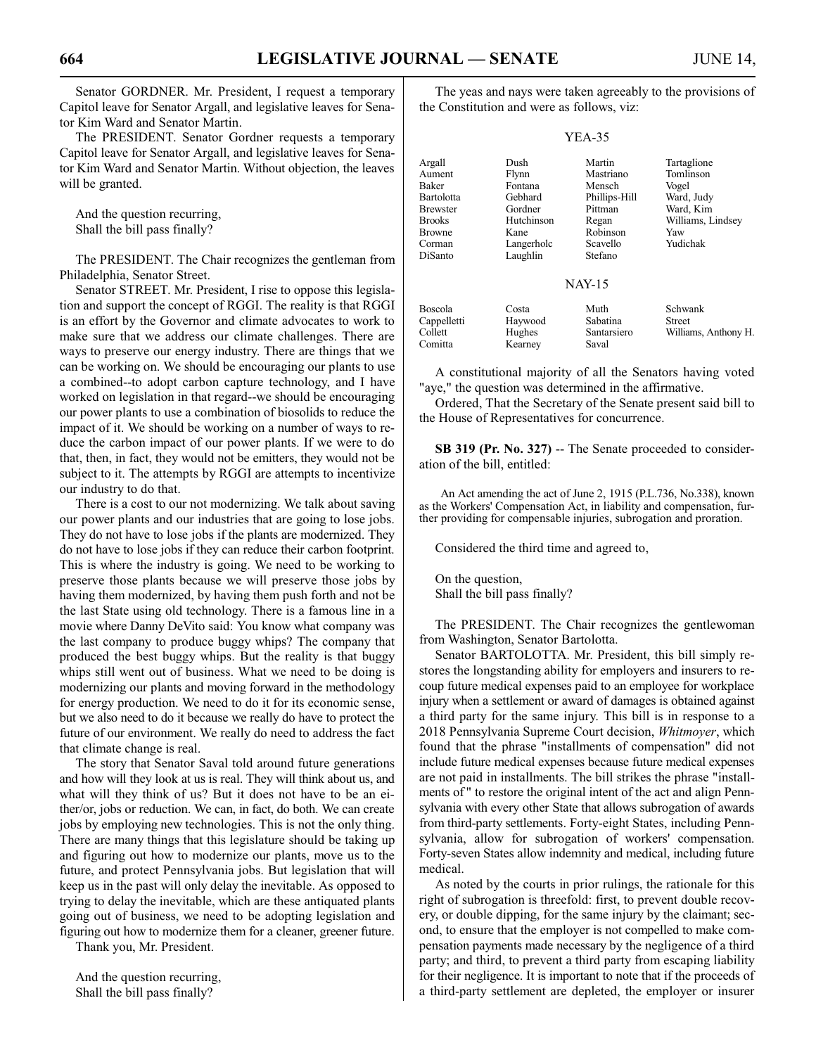Senator GORDNER. Mr. President, I request a temporary Capitol leave for Senator Argall, and legislative leaves for Senator Kim Ward and Senator Martin.

The PRESIDENT. Senator Gordner requests a temporary Capitol leave for Senator Argall, and legislative leaves for Senator Kim Ward and Senator Martin. Without objection, the leaves will be granted.

And the question recurring, Shall the bill pass finally?

The PRESIDENT. The Chair recognizes the gentleman from Philadelphia, Senator Street.

Senator STREET. Mr. President, I rise to oppose this legislation and support the concept of RGGI. The reality is that RGGI is an effort by the Governor and climate advocates to work to make sure that we address our climate challenges. There are ways to preserve our energy industry. There are things that we can be working on. We should be encouraging our plants to use a combined--to adopt carbon capture technology, and I have worked on legislation in that regard--we should be encouraging our power plants to use a combination of biosolids to reduce the impact of it. We should be working on a number of ways to reduce the carbon impact of our power plants. If we were to do that, then, in fact, they would not be emitters, they would not be subject to it. The attempts by RGGI are attempts to incentivize our industry to do that.

There is a cost to our not modernizing. We talk about saving our power plants and our industries that are going to lose jobs. They do not have to lose jobs if the plants are modernized. They do not have to lose jobs if they can reduce their carbon footprint. This is where the industry is going. We need to be working to preserve those plants because we will preserve those jobs by having them modernized, by having them push forth and not be the last State using old technology. There is a famous line in a movie where Danny DeVito said: You know what company was the last company to produce buggy whips? The company that produced the best buggy whips. But the reality is that buggy whips still went out of business. What we need to be doing is modernizing our plants and moving forward in the methodology for energy production. We need to do it for its economic sense, but we also need to do it because we really do have to protect the future of our environment. We really do need to address the fact that climate change is real.

The story that Senator Saval told around future generations and how will they look at us is real. They will think about us, and what will they think of us? But it does not have to be an either/or, jobs or reduction. We can, in fact, do both. We can create jobs by employing new technologies. This is not the only thing. There are many things that this legislature should be taking up and figuring out how to modernize our plants, move us to the future, and protect Pennsylvania jobs. But legislation that will keep us in the past will only delay the inevitable. As opposed to trying to delay the inevitable, which are these antiquated plants going out of business, we need to be adopting legislation and figuring out how to modernize them for a cleaner, greener future.

Thank you, Mr. President.

And the question recurring, Shall the bill pass finally?

The yeas and nays were taken agreeably to the provisions of the Constitution and were as follows, viz:

#### YEA-35

| Argall          | Dush       | Martin        | Tartaglione          |
|-----------------|------------|---------------|----------------------|
| Aument          | Flynn      | Mastriano     | Tomlinson            |
| Baker           | Fontana    | Mensch        | Vogel                |
| Bartolotta      | Gebhard    | Phillips-Hill | Ward, Judy           |
| <b>Brewster</b> | Gordner    | Pittman       | Ward, Kim            |
| <b>Brooks</b>   | Hutchinson | Regan         | Williams, Lindsey    |
| <b>Browne</b>   | Kane       | Robinson      | Yaw                  |
| Corman          | Langerholc | Scavello      | Yudichak             |
| DiSanto         | Laughlin   | Stefano       |                      |
|                 |            | <b>NAY-15</b> |                      |
| Boscola         | Costa      | Muth          | Schwank              |
| Cappelletti     | Haywood    | Sabatina      | Street               |
| Collett         | Hughes     | Santarsiero   | Williams, Anthony H. |

A constitutional majority of all the Senators having voted "aye," the question was determined in the affirmative.

Ordered, That the Secretary of the Senate present said bill to the House of Representatives for concurrence.

**SB 319 (Pr. No. 327)** -- The Senate proceeded to consideration of the bill, entitled:

An Act amending the act of June 2, 1915 (P.L.736, No.338), known as the Workers' Compensation Act, in liability and compensation, further providing for compensable injuries, subrogation and proration.

Considered the third time and agreed to,

On the question, Shall the bill pass finally?

Comitta Kearney Saval

The PRESIDENT. The Chair recognizes the gentlewoman from Washington, Senator Bartolotta.

Senator BARTOLOTTA. Mr. President, this bill simply restores the longstanding ability for employers and insurers to recoup future medical expenses paid to an employee for workplace injury when a settlement or award of damages is obtained against a third party for the same injury. This bill is in response to a 2018 Pennsylvania Supreme Court decision, *Whitmoyer*, which found that the phrase "installments of compensation" did not include future medical expenses because future medical expenses are not paid in installments. The bill strikes the phrase "installments of " to restore the original intent of the act and align Pennsylvania with every other State that allows subrogation of awards from third-party settlements. Forty-eight States, including Pennsylvania, allow for subrogation of workers' compensation. Forty-seven States allow indemnity and medical, including future medical.

As noted by the courts in prior rulings, the rationale for this right of subrogation is threefold: first, to prevent double recovery, or double dipping, for the same injury by the claimant; second, to ensure that the employer is not compelled to make compensation payments made necessary by the negligence of a third party; and third, to prevent a third party from escaping liability for their negligence. It is important to note that if the proceeds of a third-party settlement are depleted, the employer or insurer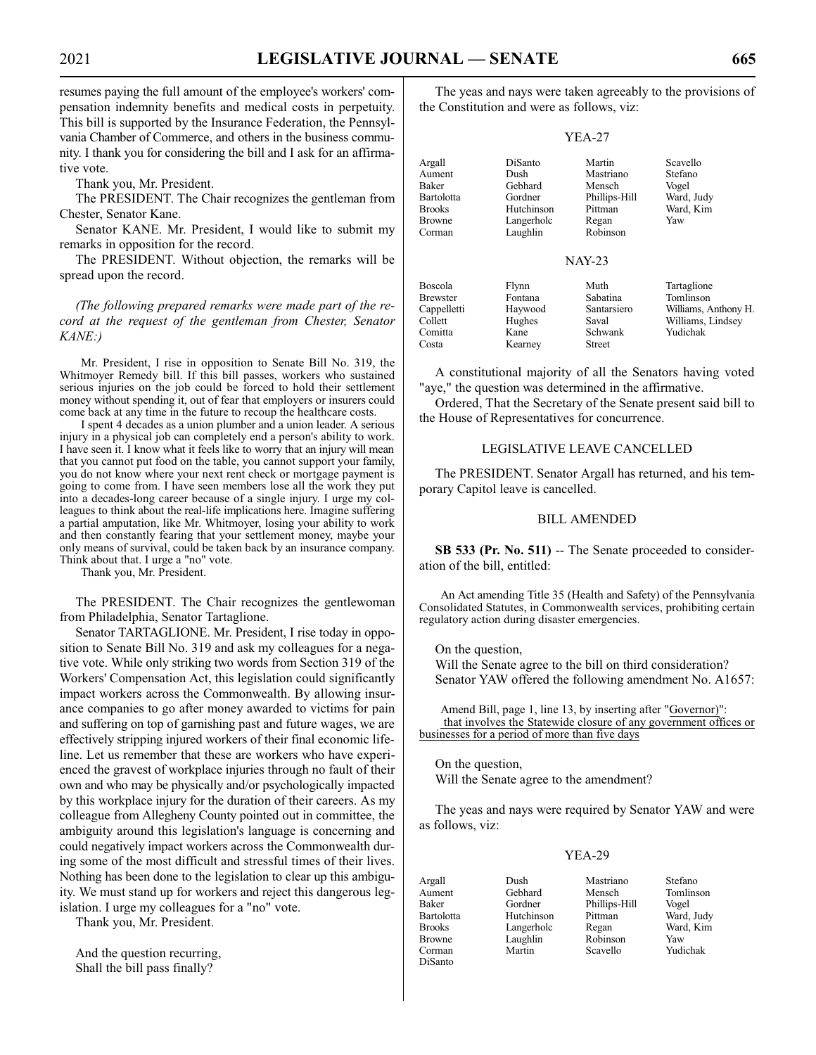resumes paying the full amount of the employee's workers' compensation indemnity benefits and medical costs in perpetuity. This bill is supported by the Insurance Federation, the Pennsylvania Chamber of Commerce, and others in the business community. I thank you for considering the bill and I ask for an affirmative vote.

Thank you, Mr. President.

The PRESIDENT. The Chair recognizes the gentleman from Chester, Senator Kane.

Senator KANE. Mr. President, I would like to submit my remarks in opposition for the record.

The PRESIDENT. Without objection, the remarks will be spread upon the record.

*(The following prepared remarks were made part of the record at the request of the gentleman from Chester, Senator KANE:)*

Mr. President, I rise in opposition to Senate Bill No. 319, the Whitmoyer Remedy bill. If this bill passes, workers who sustained serious injuries on the job could be forced to hold their settlement money without spending it, out of fear that employers or insurers could come back at any time in the future to recoup the healthcare costs.

I spent 4 decades as a union plumber and a union leader. A serious injury in a physical job can completely end a person's ability to work. I have seen it. I know what it feels like to worry that an injury will mean that you cannot put food on the table, you cannot support your family, you do not know where your next rent check or mortgage payment is going to come from. I have seen members lose all the work they put into a decades-long career because of a single injury. I urge my colleagues to think about the real-life implications here. Imagine suffering a partial amputation, like Mr. Whitmoyer, losing your ability to work and then constantly fearing that your settlement money, maybe your only means of survival, could be taken back by an insurance company. Think about that. I urge a "no" vote.

Thank you, Mr. President.

The PRESIDENT. The Chair recognizes the gentlewoman from Philadelphia, Senator Tartaglione.

Senator TARTAGLIONE. Mr. President, I rise today in opposition to Senate Bill No. 319 and ask my colleagues for a negative vote. While only striking two words from Section 319 of the Workers' Compensation Act, this legislation could significantly impact workers across the Commonwealth. By allowing insurance companies to go after money awarded to victims for pain and suffering on top of garnishing past and future wages, we are effectively stripping injured workers of their final economic lifeline. Let us remember that these are workers who have experienced the gravest of workplace injuries through no fault of their own and who may be physically and/or psychologically impacted by this workplace injury for the duration of their careers. As my colleague from Allegheny County pointed out in committee, the ambiguity around this legislation's language is concerning and could negatively impact workers across the Commonwealth during some of the most difficult and stressful times of their lives. Nothing has been done to the legislation to clear up this ambiguity. We must stand up for workers and reject this dangerous legislation. I urge my colleagues for a "no" vote.

Thank you, Mr. President.

And the question recurring, Shall the bill pass finally?

The yeas and nays were taken agreeably to the provisions of the Constitution and were as follows, viz:

|--|--|

| Argall<br>Aument<br>Baker<br><b>Bartolotta</b><br><b>Brooks</b><br><b>Browne</b><br>Corman | DiSanto<br>Dush<br>Gebhard<br>Gordner<br>Hutchinson<br>Langerholc<br>Laughlin | Martin<br>Mastriano<br>Mensch<br>Phillips-Hill<br>Pittman<br>Regan<br>Robinson | Scavello<br>Stefano<br>Vogel<br>Ward, Judy<br>Ward, Kim<br>Yaw                    |
|--------------------------------------------------------------------------------------------|-------------------------------------------------------------------------------|--------------------------------------------------------------------------------|-----------------------------------------------------------------------------------|
|                                                                                            |                                                                               | NAY-23                                                                         |                                                                                   |
| <b>Boscola</b><br><b>Brewster</b><br>Cappelletti<br>Collett<br>Comitta<br>Costa            | Flynn<br>Fontana<br>Haywood<br>Hughes<br>Kane<br>Kearney                      | Muth<br>Sabatina<br>Santarsiero<br>Saval<br>Schwank<br>Street                  | Tartaglione<br>Tomlinson<br>Williams, Anthony H.<br>Williams, Lindsey<br>Yudichak |

A constitutional majority of all the Senators having voted "aye," the question was determined in the affirmative.

Ordered, That the Secretary of the Senate present said bill to the House of Representatives for concurrence.

#### LEGISLATIVE LEAVE CANCELLED

The PRESIDENT. Senator Argall has returned, and his temporary Capitol leave is cancelled.

#### BILL AMENDED

**SB 533 (Pr. No. 511)** -- The Senate proceeded to consideration of the bill, entitled:

An Act amending Title 35 (Health and Safety) of the Pennsylvania Consolidated Statutes, in Commonwealth services, prohibiting certain regulatory action during disaster emergencies.

On the question,

Will the Senate agree to the bill on third consideration? Senator YAW offered the following amendment No. A1657:

Amend Bill, page 1, line 13, by inserting after "Governor)": that involves the Statewide closure of any government offices or businesses for a period of more than five days

On the question, Will the Senate agree to the amendment?

The yeas and nays were required by Senator YAW and were as follows, viz:

#### YEA-29

Argall Dush Mastriano Stefano Aument Gebhard Mensch Tomlinson Baker Gordner Phillips-Hill Vogel Brooks Langerholc Regan Ward, Kim<br>Browne Laughlin Robinson Yaw Browne Laughlin Robinson Yaw<br>Corman Martin Scavello Yudichak Corman Martin Scavello Yudichak DiSanto

Hutchinson Pittman Langerholc Regan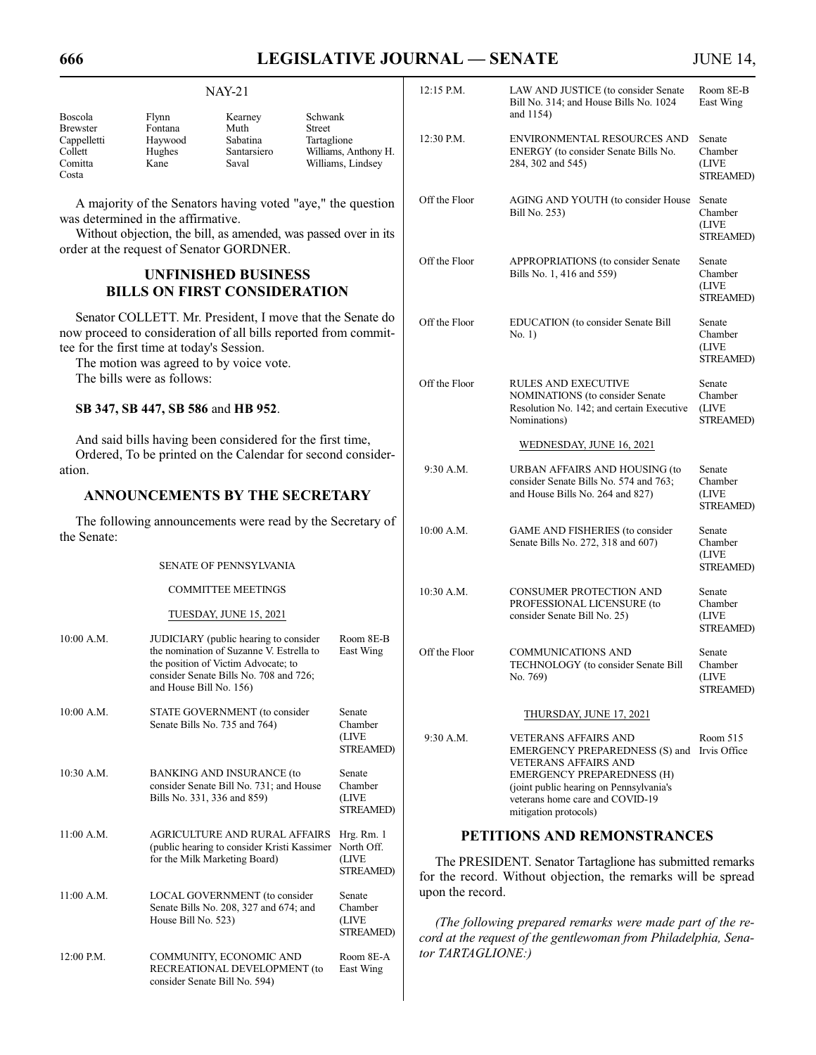# **666 LEGISLATIVE JOURNAL — SENATE** JUNE 14,

| Boscola                                                       | Flynn                                                            | $NAY-21$<br>Kearney                                                                                                                                                        | Schwank                                                            | 12:15 P.M.                                                                                                                                                                                                                                                                    | LAW AND JUSTICE (to consider Senate<br>Bill No. 314; and House Bills No. 1024<br>and 1154)                                               | Room 8E-B<br>East Wing                         |
|---------------------------------------------------------------|------------------------------------------------------------------|----------------------------------------------------------------------------------------------------------------------------------------------------------------------------|--------------------------------------------------------------------|-------------------------------------------------------------------------------------------------------------------------------------------------------------------------------------------------------------------------------------------------------------------------------|------------------------------------------------------------------------------------------------------------------------------------------|------------------------------------------------|
| <b>Brewster</b><br>Cappelletti<br>Collett<br>Comitta<br>Costa | Fontana<br>Haywood<br>Hughes<br>Kane                             | Muth<br>Sabatina<br>Santarsiero<br>Saval                                                                                                                                   | Street<br>Tartaglione<br>Williams, Anthony H.<br>Williams, Lindsey | 12:30 P.M.                                                                                                                                                                                                                                                                    | ENVIRONMENTAL RESOURCES AND<br>ENERGY (to consider Senate Bills No.<br>284, 302 and 545)                                                 | Senate<br>Chamber<br>(LIVE<br><b>STREAMED)</b> |
|                                                               | was determined in the affirmative.                               | A majority of the Senators having voted "aye," the question<br>Without objection, the bill, as amended, was passed over in its<br>order at the request of Senator GORDNER. |                                                                    | Off the Floor                                                                                                                                                                                                                                                                 | AGING AND YOUTH (to consider House<br>Bill No. 253)                                                                                      | Senate<br>Chamber<br>(LIVE<br><b>STREAMED)</b> |
|                                                               |                                                                  | <b>UNFINISHED BUSINESS</b><br><b>BILLS ON FIRST CONSIDERATION</b>                                                                                                          |                                                                    | Off the Floor                                                                                                                                                                                                                                                                 | APPROPRIATIONS (to consider Senate<br>Bills No. 1, 416 and 559)                                                                          | Senate<br>Chamber<br>(LIVE<br>STREAMED)        |
|                                                               | tee for the first time at today's Session.                       | Senator COLLETT. Mr. President, I move that the Senate do<br>now proceed to consideration of all bills reported from commit-<br>The motion was agreed to by voice vote.    |                                                                    | Off the Floor                                                                                                                                                                                                                                                                 | EDUCATION (to consider Senate Bill<br>No. 1)                                                                                             | Senate<br>Chamber<br>(LIVE<br><b>STREAMED)</b> |
|                                                               | The bills were as follows:<br>SB 347, SB 447, SB 586 and HB 952. |                                                                                                                                                                            |                                                                    | Off the Floor                                                                                                                                                                                                                                                                 | <b>RULES AND EXECUTIVE</b><br>NOMINATIONS (to consider Senate<br>Resolution No. 142; and certain Executive<br>Nominations)               | Senate<br>Chamber<br>(LIVE<br>STREAMED)        |
|                                                               |                                                                  | And said bills having been considered for the first time,<br>Ordered, To be printed on the Calendar for second consider-                                                   |                                                                    |                                                                                                                                                                                                                                                                               | WEDNESDAY, JUNE 16, 2021                                                                                                                 |                                                |
| ation.<br>ANNOUNCEMENTS BY THE SECRETARY                      |                                                                  |                                                                                                                                                                            | 9:30 A.M.                                                          | URBAN AFFAIRS AND HOUSING (to<br>consider Senate Bills No. 574 and 763;<br>and House Bills No. 264 and 827)                                                                                                                                                                   | Senate<br>Chamber<br>(LIVE<br><b>STREAMED)</b>                                                                                           |                                                |
| the Senate:                                                   |                                                                  | The following announcements were read by the Secretary of                                                                                                                  |                                                                    | 10:00 A.M.                                                                                                                                                                                                                                                                    | GAME AND FISHERIES (to consider<br>Senate Bills No. 272, 318 and 607)                                                                    | Senate<br>Chamber<br>(LIVE                     |
|                                                               |                                                                  | <b>SENATE OF PENNSYLVANIA</b>                                                                                                                                              |                                                                    |                                                                                                                                                                                                                                                                               |                                                                                                                                          | STREAMED)                                      |
|                                                               |                                                                  | <b>COMMITTEE MEETINGS</b>                                                                                                                                                  |                                                                    | 10:30 A.M.                                                                                                                                                                                                                                                                    | <b>CONSUMER PROTECTION AND</b><br>PROFESSIONAL LICENSURE (to                                                                             | Senate<br>Chamber                              |
|                                                               |                                                                  | TUESDAY, JUNE 15, 2021                                                                                                                                                     |                                                                    |                                                                                                                                                                                                                                                                               | consider Senate Bill No. 25)                                                                                                             | (LIVE<br>STREAMED)                             |
| 10:00 A.M.                                                    | and House Bill No. 156)                                          | JUDICIARY (public hearing to consider<br>the nomination of Suzanne V. Estrella to<br>the position of Victim Advocate; to<br>consider Senate Bills No. 708 and 726;         | Room 8E-B<br>East Wing                                             | Off the Floor                                                                                                                                                                                                                                                                 | <b>COMMUNICATIONS AND</b><br>TECHNOLOGY (to consider Senate Bill<br>No. 769)                                                             | Senate<br>Chamber<br>(LIVE<br>STREAMED)        |
| 10:00 A.M.                                                    |                                                                  | STATE GOVERNMENT (to consider<br>Senate Bills No. 735 and 764)                                                                                                             | Senate<br>Chamber                                                  |                                                                                                                                                                                                                                                                               | THURSDAY, JUNE 17, 2021                                                                                                                  |                                                |
|                                                               |                                                                  |                                                                                                                                                                            | (LIVE<br>STREAMED)                                                 | 9:30 A.M.                                                                                                                                                                                                                                                                     | <b>VETERANS AFFAIRS AND</b><br>EMERGENCY PREPAREDNESS (S) and<br><b>VETERANS AFFAIRS AND</b>                                             | Room 515<br>Irvis Office                       |
| 10:30 A.M.                                                    |                                                                  | <b>BANKING AND INSURANCE (to</b><br>consider Senate Bill No. 731; and House<br>Bills No. 331, 336 and 859)                                                                 | Senate<br>Chamber<br>(LIVE<br>STREAMED)                            |                                                                                                                                                                                                                                                                               | <b>EMERGENCY PREPAREDNESS (H)</b><br>(joint public hearing on Pennsylvania's<br>veterans home care and COVID-19<br>mitigation protocols) |                                                |
| $11:00$ A.M.                                                  |                                                                  | <b>AGRICULTURE AND RURAL AFFAIRS</b><br>(public hearing to consider Kristi Kassimer                                                                                        | Hrg. Rm. 1<br>North Off.                                           | PETITIONS AND REMONSTRANCES                                                                                                                                                                                                                                                   |                                                                                                                                          |                                                |
|                                                               |                                                                  | for the Milk Marketing Board)                                                                                                                                              | (LIVE<br>STREAMED)                                                 | The PRESIDENT. Senator Tartaglione has submitted remarks<br>for the record. Without objection, the remarks will be spread<br>upon the record.<br>(The following prepared remarks were made part of the re-<br>cord at the request of the gentlewoman from Philadelphia, Sena- |                                                                                                                                          |                                                |
| $11:00$ A.M.                                                  | House Bill No. 523)                                              | LOCAL GOVERNMENT (to consider<br>Senate Bills No. 208, 327 and 674; and                                                                                                    | Senate<br>Chamber<br>(LIVE<br><b>STREAMED)</b>                     |                                                                                                                                                                                                                                                                               |                                                                                                                                          |                                                |
| 12:00 P.M.                                                    |                                                                  | COMMUNITY, ECONOMIC AND<br>RECREATIONAL DEVELOPMENT (to<br>consider Senate Bill No. 594)                                                                                   | Room 8E-A<br>East Wing                                             | tor TARTAGLIONE:)                                                                                                                                                                                                                                                             |                                                                                                                                          |                                                |
|                                                               |                                                                  |                                                                                                                                                                            |                                                                    |                                                                                                                                                                                                                                                                               |                                                                                                                                          |                                                |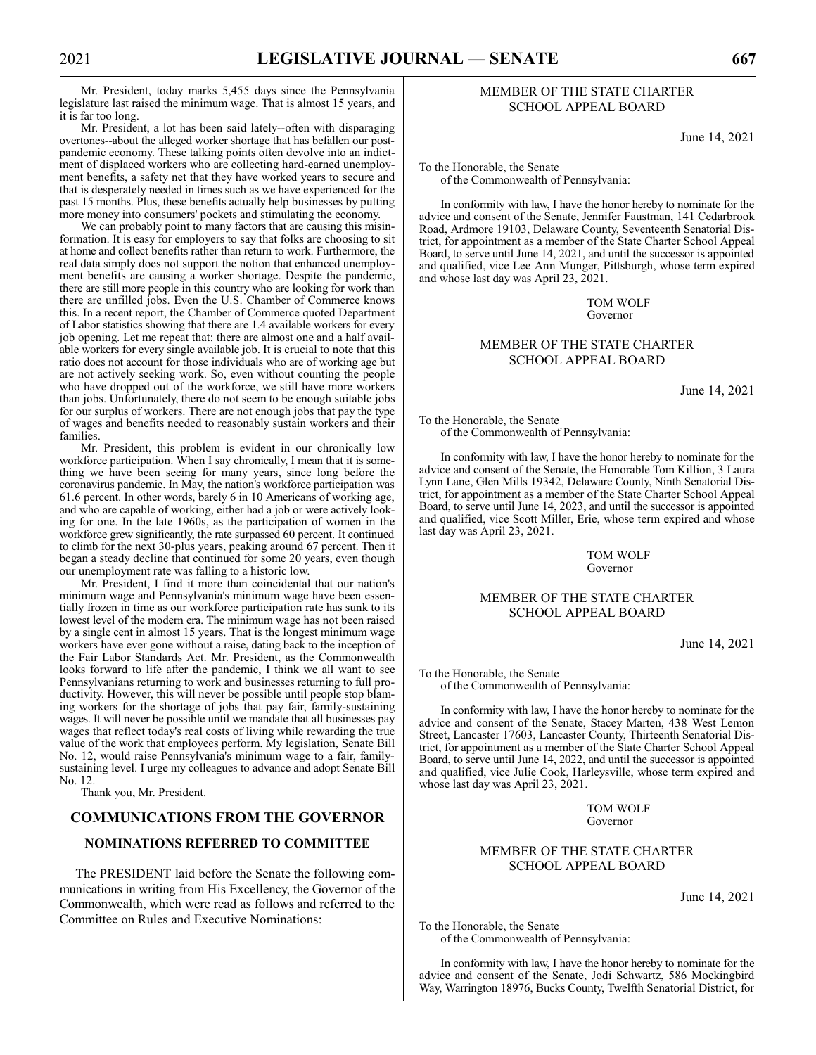Mr. President, today marks 5,455 days since the Pennsylvania legislature last raised the minimum wage. That is almost 15 years, and it is far too long.

Mr. President, a lot has been said lately--often with disparaging overtones--about the alleged worker shortage that has befallen our postpandemic economy. These talking points often devolve into an indictment of displaced workers who are collecting hard-earned unemployment benefits, a safety net that they have worked years to secure and that is desperately needed in times such as we have experienced for the past 15 months. Plus, these benefits actually help businesses by putting more money into consumers' pockets and stimulating the economy.

We can probably point to many factors that are causing this misinformation. It is easy for employers to say that folks are choosing to sit at home and collect benefits rather than return to work. Furthermore, the real data simply does not support the notion that enhanced unemployment benefits are causing a worker shortage. Despite the pandemic, there are still more people in this country who are looking for work than there are unfilled jobs. Even the U.S. Chamber of Commerce knows this. In a recent report, the Chamber of Commerce quoted Department of Labor statistics showing that there are 1.4 available workers for every job opening. Let me repeat that: there are almost one and a half available workers for every single available job. It is crucial to note that this ratio does not account for those individuals who are of working age but are not actively seeking work. So, even without counting the people who have dropped out of the workforce, we still have more workers than jobs. Unfortunately, there do not seem to be enough suitable jobs for our surplus of workers. There are not enough jobs that pay the type of wages and benefits needed to reasonably sustain workers and their families.

Mr. President, this problem is evident in our chronically low workforce participation. When I say chronically, I mean that it is something we have been seeing for many years, since long before the coronavirus pandemic. In May, the nation's workforce participation was 61.6 percent. In other words, barely 6 in 10 Americans of working age, and who are capable of working, either had a job or were actively looking for one. In the late 1960s, as the participation of women in the workforce grew significantly, the rate surpassed 60 percent. It continued to climb for the next 30-plus years, peaking around 67 percent. Then it began a steady decline that continued for some 20 years, even though our unemployment rate was falling to a historic low.

Mr. President, I find it more than coincidental that our nation's minimum wage and Pennsylvania's minimum wage have been essentially frozen in time as our workforce participation rate has sunk to its lowest level of the modern era. The minimum wage has not been raised by a single cent in almost 15 years. That is the longest minimum wage workers have ever gone without a raise, dating back to the inception of the Fair Labor Standards Act. Mr. President, as the Commonwealth looks forward to life after the pandemic, I think we all want to see Pennsylvanians returning to work and businesses returning to full productivity. However, this will never be possible until people stop blaming workers for the shortage of jobs that pay fair, family-sustaining wages. It will never be possible until we mandate that all businesses pay wages that reflect today's real costs of living while rewarding the true value of the work that employees perform. My legislation, Senate Bill No. 12, would raise Pennsylvania's minimum wage to a fair, familysustaining level. I urge my colleagues to advance and adopt Senate Bill No. 12.

Thank you, Mr. President.

# **COMMUNICATIONS FROM THE GOVERNOR**

# **NOMINATIONS REFERRED TO COMMITTEE**

The PRESIDENT laid before the Senate the following communications in writing from His Excellency, the Governor of the Commonwealth, which were read as follows and referred to the Committee on Rules and Executive Nominations:

# MEMBER OF THE STATE CHARTER SCHOOL APPEAL BOARD

June 14, 2021

To the Honorable, the Senate of the Commonwealth of Pennsylvania:

In conformity with law, I have the honor hereby to nominate for the advice and consent of the Senate, Jennifer Faustman, 141 Cedarbrook Road, Ardmore 19103, Delaware County, Seventeenth Senatorial District, for appointment as a member of the State Charter School Appeal Board, to serve until June 14, 2021, and until the successor is appointed and qualified, vice Lee Ann Munger, Pittsburgh, whose term expired and whose last day was April 23, 2021.

> TOM WOLF Governor

# MEMBER OF THE STATE CHARTER SCHOOL APPEAL BOARD

June 14, 2021

To the Honorable, the Senate of the Commonwealth of Pennsylvania:

In conformity with law, I have the honor hereby to nominate for the advice and consent of the Senate, the Honorable Tom Killion, 3 Laura Lynn Lane, Glen Mills 19342, Delaware County, Ninth Senatorial District, for appointment as a member of the State Charter School Appeal Board, to serve until June 14, 2023, and until the successor is appointed and qualified, vice Scott Miller, Erie, whose term expired and whose last day was April 23, 2021.

#### TOM WOLF Governor

#### MEMBER OF THE STATE CHARTER SCHOOL APPEAL BOARD

June 14, 2021

To the Honorable, the Senate of the Commonwealth of Pennsylvania:

In conformity with law, I have the honor hereby to nominate for the advice and consent of the Senate, Stacey Marten, 438 West Lemon Street, Lancaster 17603, Lancaster County, Thirteenth Senatorial District, for appointment as a member of the State Charter School Appeal Board, to serve until June 14, 2022, and until the successor is appointed and qualified, vice Julie Cook, Harleysville, whose term expired and whose last day was April 23, 2021.

> TOM WOLF Governor

# MEMBER OF THE STATE CHARTER SCHOOL APPEAL BOARD

June 14, 2021

To the Honorable, the Senate of the Commonwealth of Pennsylvania:

In conformity with law, I have the honor hereby to nominate for the advice and consent of the Senate, Jodi Schwartz, 586 Mockingbird Way, Warrington 18976, Bucks County, Twelfth Senatorial District, for